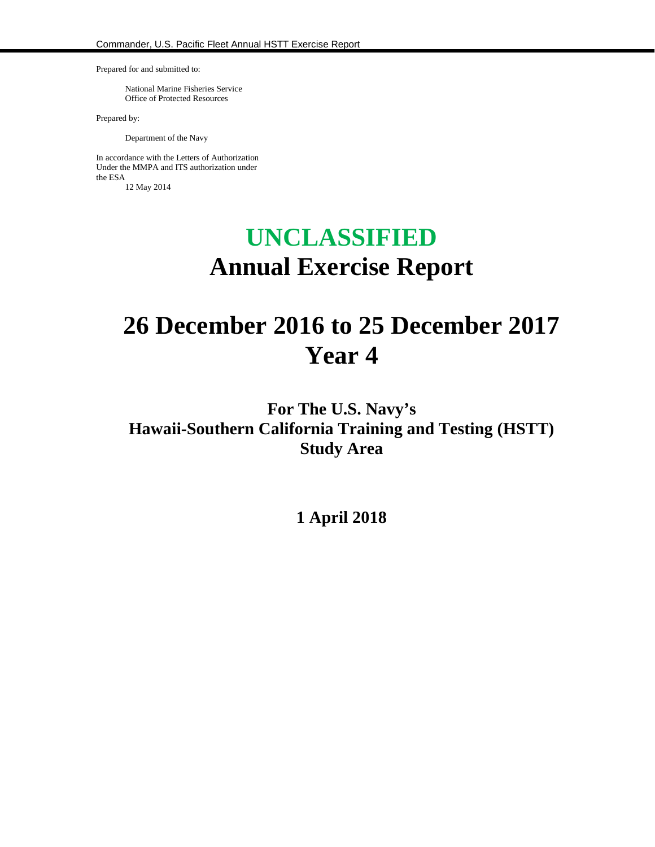Prepared for and submitted to:

National Marine Fisheries Service Office of Protected Resources

Prepared by:

Department of the Navy

In accordance with the Letters of Authorization Under the MMPA and ITS authorization under the ESA 12 May 2014

# **UNCLASSIFIED Annual Exercise Report**

# **26 December 2016 to 25 December 2017 Year 4**

# **For The U.S. Navy's Hawaii-Southern California Training and Testing (HSTT) Study Area**

**1 April 2018**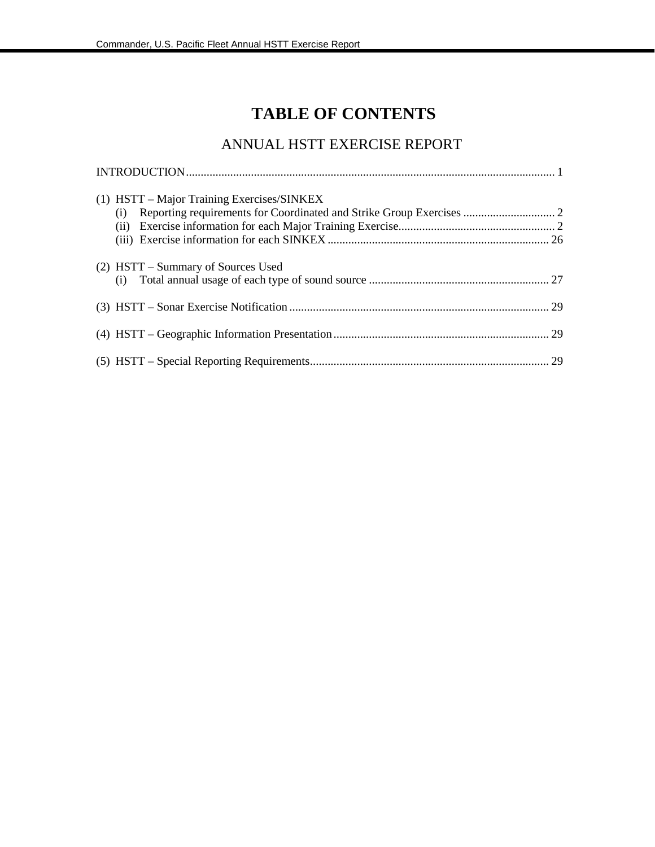# **TABLE OF CONTENTS**

## ANNUAL HSTT EXERCISE REPORT

| (1) HSTT - Major Training Exercises/SINKEX<br>(1) |  |
|---------------------------------------------------|--|
|                                                   |  |
|                                                   |  |
| (2) HSTT – Summary of Sources Used                |  |
|                                                   |  |
|                                                   |  |
|                                                   |  |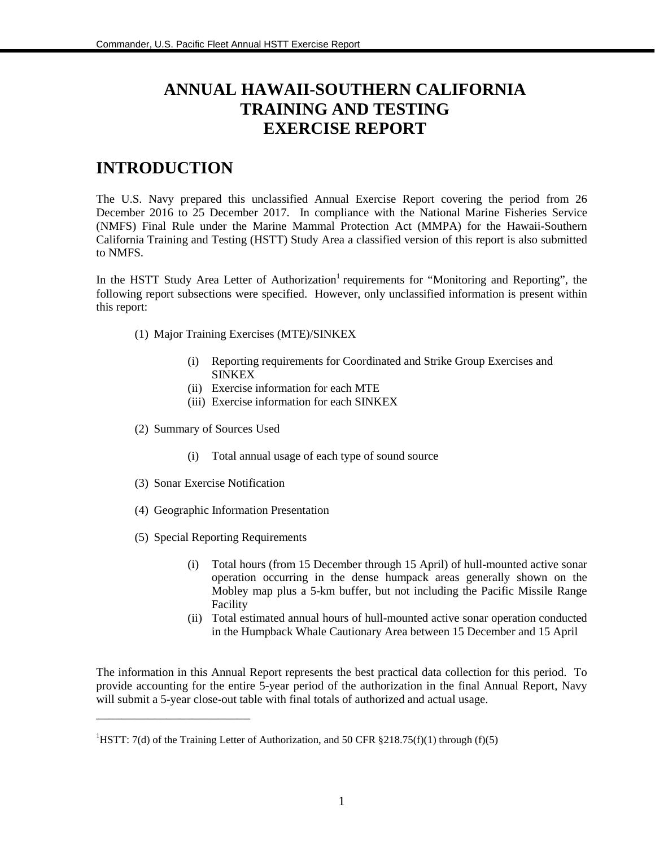# **ANNUAL HAWAII-SOUTHERN CALIFORNIA TRAINING AND TESTING EXERCISE REPORT**

## **INTRODUCTION**

The U.S. Navy prepared this unclassified Annual Exercise Report covering the period from 26 December 2016 to 25 December 2017. In compliance with the National Marine Fisheries Service (NMFS) Final Rule under the Marine Mammal Protection Act (MMPA) for the Hawaii-Southern California Training and Testing (HSTT) Study Area a classified version of this report is also submitted to NMFS.

In the HSTT Study Area Letter of Authorization<sup>1</sup> requirements for "Monitoring and Reporting", the following report subsections were specified. However, only unclassified information is present within this report:

- (1) Major Training Exercises (MTE)/SINKEX
	- (i) Reporting requirements for Coordinated and Strike Group Exercises and SINKEX
	- (ii) Exercise information for each MTE
	- (iii) Exercise information for each SINKEX
- (2) Summary of Sources Used
	- (i) Total annual usage of each type of sound source
- (3) Sonar Exercise Notification

\_\_\_\_\_\_\_\_\_\_\_\_\_\_\_\_\_\_\_\_\_\_\_\_

- (4) Geographic Information Presentation
- (5) Special Reporting Requirements
	- (i) Total hours (from 15 December through 15 April) of hull-mounted active sonar operation occurring in the dense humpack areas generally shown on the Mobley map plus a 5-km buffer, but not including the Pacific Missile Range Facility
	- (ii) Total estimated annual hours of hull-mounted active sonar operation conducted in the Humpback Whale Cautionary Area between 15 December and 15 April

The information in this Annual Report represents the best practical data collection for this period. To provide accounting for the entire 5-year period of the authorization in the final Annual Report, Navy will submit a 5-year close-out table with final totals of authorized and actual usage.

<sup>&</sup>lt;sup>1</sup>HSTT: 7(d) of the Training Letter of Authorization, and 50 CFR §218.75(f)(1) through (f)(5)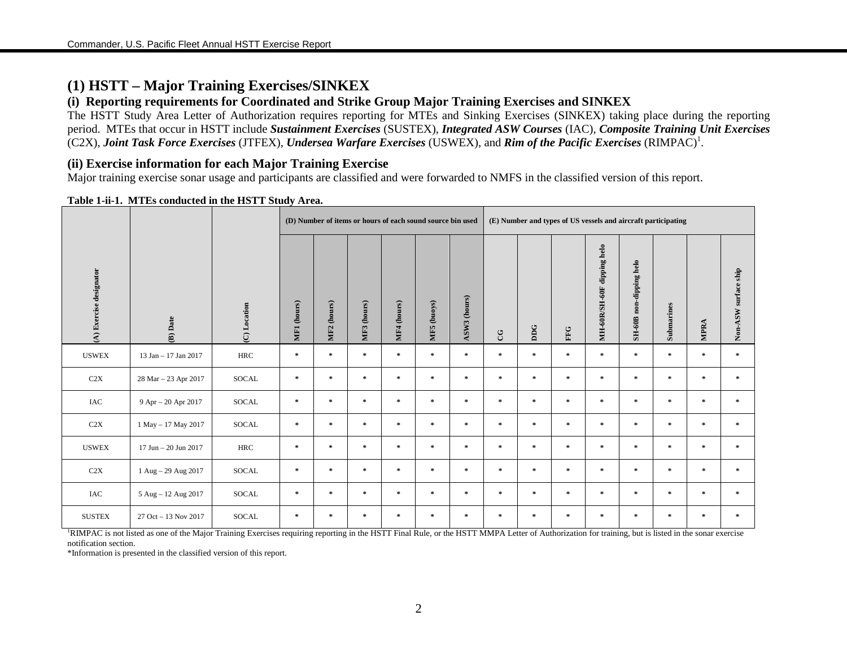## **(1) HSTT – Major Training Exercises/SINKEX**

## **(i) Reporting requirements for Coordinated and Strike Group Major Training Exercises and SINKEX**

The HSTT Study Area Letter of Authorization requires reporting for MTEs and Sinking Exercises (SINKEX) taking place during the reporting period. MTEs that occur in HSTT include *Sustainment Exercises* (SUSTEX), *Integrated ASW Courses* (IAC), *Composite Training Unit Exercises*  (C2X), *Joint Task Force Exercises* (JTFEX), *Undersea Warfare Exercises* (USWEX), and *Rim of the Pacific Exercises* (RIMPAC)<sup>1</sup> .

## **(ii) Exercise information for each Major Training Exercise**

Major training exercise sonar usage and participants are classified and were forwarded to NMFS in the classified version of this report.

|                         |                            |              |               | (D) Number of items or hours of each sound source bin used |                       |             |             |               |               |           | (E) Number and types of US vessels and aircraft participating |                            |                         |               |               |                      |
|-------------------------|----------------------------|--------------|---------------|------------------------------------------------------------|-----------------------|-------------|-------------|---------------|---------------|-----------|---------------------------------------------------------------|----------------------------|-------------------------|---------------|---------------|----------------------|
| (A) Exercise designator | (B) Date                   | (C) Location | MF1 (hours)   | (hours)<br>MF <sub>2</sub>                                 | (hours)<br><b>MF3</b> | MF4 (hours) | MF5 (buoys) | ASW3 (hours)  | CG            | DDG       | ${\rm FFG}$                                                   | MH-60R/SH-60F dipping helo | SH-60B non-dipping helo | Submarines    | MPRA          | Non-ASW surface ship |
| <b>USWEX</b>            | 13 Jan - 17 Jan 2017       | <b>HRC</b>   | $\mathcal{R}$ | $\pm$                                                      | $\approx$             | $\mathbb R$ | $\ast$      | $\star$       | $\mathcal{H}$ | $\ast$    | $\mathcal{R}$                                                 | $\ast$                     | $\mathcal{R}$           | $\pm$         | $\pm$         | $\mathcal{R}$        |
| C2X                     | 28 Mar - 23 Apr 2017       | SOCAL        | $\ast$        | $\pm$                                                      | $\mathcal{H}$         | $\mathbb R$ | $\ast$      | $\pm$         | $\mathcal{R}$ | $\ast$    | $\mathcal{H}$                                                 | $\approx$                  | $\ast$                  | $\ast$        | $\mathcal{R}$ | $\ast$               |
| IAC                     | 9 Apr - 20 Apr 2017        | SOCAL        | $\mathcal{R}$ | $\star$                                                    | $\mathcal{R}$         | $\pm$       | $\approx$   | $\pm$         | $\mathcal{H}$ | $\ast$    | $\mathcal{R}$                                                 | $\gg$                      | $\mathcal{R}$           | $\pm$         | $\star$       | $\mathcal{R}$        |
| C2X                     | $1$ May $-$ 17 May 2017    | <b>SOCAL</b> | $\ast$        | $\star$                                                    | $\approx$             | $\mathbb R$ | $\ast$      | $\pm$         | $\mathcal{R}$ | $\approx$ | $\mathcal{R}$                                                 | $\approx$                  | $\mathcal{R}$           | $\frac{1}{2}$ | $\mathcal{R}$ | $\mathcal{R}$        |
| <b>USWEX</b>            | $17$ Jun $- 20$ Jun $2017$ | <b>HRC</b>   | $\mathcal{R}$ | $\pm$                                                      | $\approx$             | $\mathbb R$ | $\ast$      | $\pm$         | $\mathcal{H}$ | $\approx$ | $\mathcal{H}$                                                 | $\approx$                  | $\mathcal{R}$           | $\pm$         | $\mathcal{R}$ | $\approx$            |
| C2X                     | 1 Aug - 29 Aug 2017        | SOCAL        | $\ast$        | $\pm$                                                      | $\mathcal{H}$         | $\pm$       | $\ast$      | $\star$       | $\mathcal{R}$ | $\ast$    | $\mathcal{H}$                                                 | $\approx$                  | $\mathcal{R}$           | $\ast$        | $\star$       | $\approx$            |
| IAC                     | 5 Aug - 12 Aug 2017        | <b>SOCAL</b> | $\mathcal{R}$ | $\pm$                                                      | $\mathcal{R}$         | $\pm$       | $\ast$      | $\pm$         | $\mathcal{R}$ | $\ast$    | $\mathcal{R}$                                                 | $\gg$                      | $\mathcal{R}$           | $\frac{1}{2}$ | $\pm$         | $\approx$            |
| <b>SUSTEX</b>           | 27 Oct - 13 Nov 2017       | <b>SOCAL</b> | $\ast$        | $\mathcal{R}$                                              | $\mathbf{x}$          | $\pm$       | $\ast$      | $\mathcal{R}$ | $\pm$         | $\approx$ | $\mathcal{R}$                                                 | $\ast$                     | $\mathcal{R}$           | $\pm$         | $\ast$        | $\approx$            |

#### **Table 1-ii-1. MTEs conducted in the HSTT Study Area.**

<sup>1</sup>RIMPAC is not listed as one of the Major Training Exercises requiring reporting in the HSTT Final Rule, or the HSTT MMPA Letter of Authorization for training, but is listed in the sonar exercise notification section.

\*Information is presented in the classified version of this report.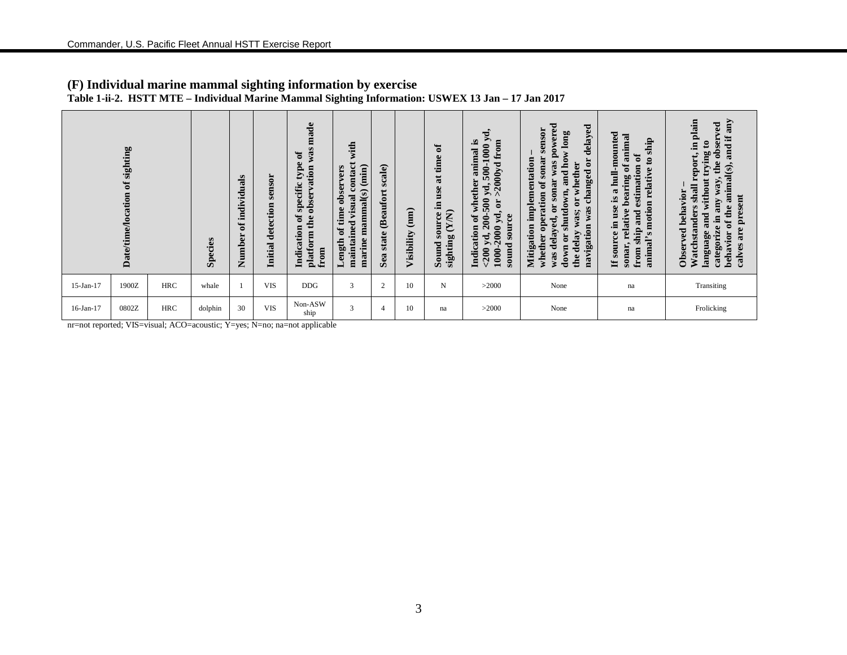|                                                                           |                                          |            |         |                                       |                             |                                                                                                               | $\tilde{\phantom{a}}$<br>$\tilde{\phantom{a}}$                                                  |                                           |                    |                                                                               |                                                                                                                                                        |                                                                                                                                                                                                                                                                                        |                                                                                                                                                                                                                                          |                                                                                                                                                                                                                                                        |
|---------------------------------------------------------------------------|------------------------------------------|------------|---------|---------------------------------------|-----------------------------|---------------------------------------------------------------------------------------------------------------|-------------------------------------------------------------------------------------------------|-------------------------------------------|--------------------|-------------------------------------------------------------------------------|--------------------------------------------------------------------------------------------------------------------------------------------------------|----------------------------------------------------------------------------------------------------------------------------------------------------------------------------------------------------------------------------------------------------------------------------------------|------------------------------------------------------------------------------------------------------------------------------------------------------------------------------------------------------------------------------------------|--------------------------------------------------------------------------------------------------------------------------------------------------------------------------------------------------------------------------------------------------------|
|                                                                           | of sighting<br><b>Date/time/location</b> |            | Species | individuals<br>$\mathbf{a}$<br>Number | sensor<br>Initial detection | made<br>was:<br>$\mathfrak{h}$<br>type.<br>observation<br>specific<br>ð<br>platform the<br>Indication<br>from | with<br>contact<br>marine mammal(s) (min)<br>time observers<br>maintained visual<br>ð<br>Length | scale)<br><b>Beaufort</b><br>state<br>Sea | (mm)<br>Visibility | đ<br>time<br>$\ddot{a}$<br>use<br>Ξ.<br>(NN)<br>source<br>sighting<br>Sound ; | 500-1000 yd,<br>animal is<br>from<br>$>2000$ yd<br>of whether<br>yd,<br>200-500<br>yd, or<br>source<br>1000-2000<br>Indication<br>$<$ 200 yd,<br>sound | powered<br>delayed<br>sensor<br>and how long<br>sonar<br>Mitigation implementation<br>ä<br>was<br>whether<br>changed<br>sonar<br>whether operation of<br>shutdown,<br>$\mathbf{\tilde{s}}$<br>$\overline{\textbf{d}}$<br>navigation was<br>delay was;<br>was delayed<br>down or<br>the | hull-mounted<br>animal<br>ship<br>ซี<br>$\mathbf{c}$<br>sonar, relative bearing of<br>estimation<br>relative<br>$\boldsymbol{\mathfrak{a}}$<br>SĪ.<br>s motion<br>use<br>and<br>Ξ.<br>ship.<br>If source<br>animal' <sub>?</sub><br>from | in plain<br>Xure<br>ved<br>and if<br>obser<br>without trying to<br>report,<br>the<br>behavior of the animal(s),<br>way,<br>shall<br>Observed behavior<br>e present<br>any<br><b>astanders</b><br>language and<br>categorize in<br>ā<br>calves<br>Watch |
| 15-Jan-17                                                                 | 1900Z                                    | <b>HRC</b> | whale   |                                       | <b>VIS</b>                  | <b>DDG</b>                                                                                                    | 3                                                                                               | $\overline{2}$                            | 10                 | N                                                                             | >2000                                                                                                                                                  | None                                                                                                                                                                                                                                                                                   | na                                                                                                                                                                                                                                       | Transiting                                                                                                                                                                                                                                             |
| 16-Jan-17                                                                 | 0802Z                                    | <b>HRC</b> | dolphin | 30                                    | <b>VIS</b>                  | Non-ASW<br>ship                                                                                               | 3                                                                                               | $\overline{4}$                            | 10                 | na                                                                            | >2000                                                                                                                                                  | None                                                                                                                                                                                                                                                                                   | na                                                                                                                                                                                                                                       | Frolicking                                                                                                                                                                                                                                             |
| nr=not reported; VIS=visual; ACO=acoustic; Y=yes; N=no; na=not applicable |                                          |            |         |                                       |                             |                                                                                                               |                                                                                                 |                                           |                    |                                                                               |                                                                                                                                                        |                                                                                                                                                                                                                                                                                        |                                                                                                                                                                                                                                          |                                                                                                                                                                                                                                                        |

## **(F) Individual marine mammal sighting information by exercise Table 1-ii-2. HSTT MTE – Individual Marine Mammal Sighting Information: USWEX 13 Jan – 17 Jan 2017**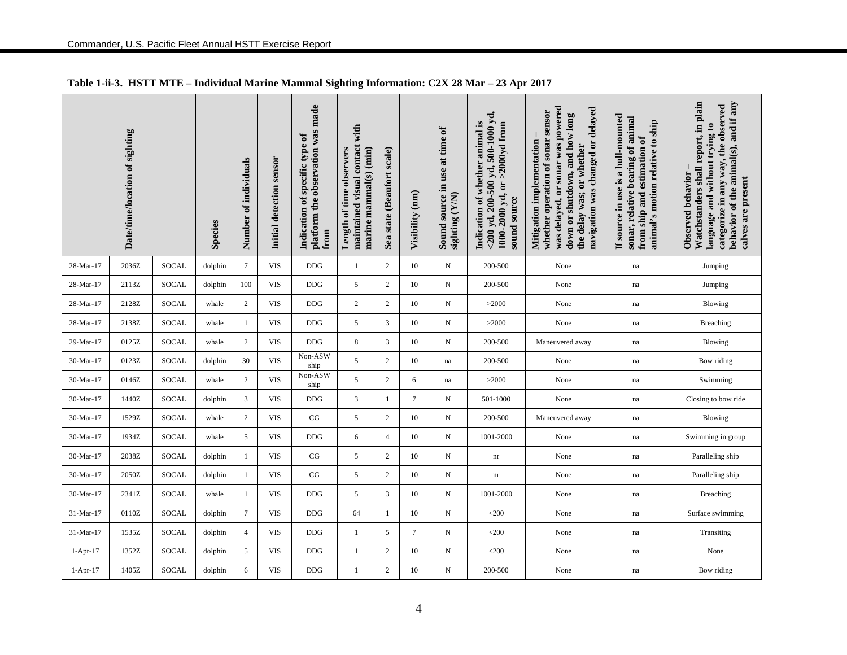|            | Date/time/location of sighting |              | <b>Species</b> | Number of individuals | Initial detection sensor | platform the observation was made<br>Indication of specific type of<br>from | with<br>maintained visual contact<br>marine mammal(s) (min)<br>Length of time observers | state (Beaufort scale)<br>Sea | Visibility (nm) | Sound source in use at time of<br>sighting (Y/N) | $<$ 200 yd, 200-500 yd, 500-1000 yd,<br>Indication of whether animal is<br>1000-2000 yd, or >2000yd from<br>sound source | was delayed, or sonar was powered<br>navigation was changed or delayed<br>sensor<br>down or shutdown, and how long<br>whether operation of sonar<br>Mitigation implementation<br>the delay was; or whether | If source in use is a hull-mounted<br>sonar, relative bearing of animal<br>animal's motion relative to ship<br>from ship and estimation of | Watchstanders shall report, in plain<br>behavior of the animal(s), and if any<br>categorize in any way, the observed<br>language and without trying to<br>Observed behavior<br>calves are present |
|------------|--------------------------------|--------------|----------------|-----------------------|--------------------------|-----------------------------------------------------------------------------|-----------------------------------------------------------------------------------------|-------------------------------|-----------------|--------------------------------------------------|--------------------------------------------------------------------------------------------------------------------------|------------------------------------------------------------------------------------------------------------------------------------------------------------------------------------------------------------|--------------------------------------------------------------------------------------------------------------------------------------------|---------------------------------------------------------------------------------------------------------------------------------------------------------------------------------------------------|
| 28-Mar-17  | 2036Z                          | SOCAL        | dolphin        | $\tau$                | VIS                      | <b>DDG</b>                                                                  | $\mathbf{1}$                                                                            | 2                             | 10              | N                                                | 200-500                                                                                                                  | None                                                                                                                                                                                                       | na                                                                                                                                         | Jumping                                                                                                                                                                                           |
| 28-Mar-17  | 2113Z                          | SOCAL        | dolphin        | 100                   | <b>VIS</b>               | DDG                                                                         | $\sqrt{5}$                                                                              | $\sqrt{2}$                    | 10              | N                                                | 200-500                                                                                                                  | None                                                                                                                                                                                                       | na                                                                                                                                         | Jumping                                                                                                                                                                                           |
| 28-Mar-17  | 2128Z                          | <b>SOCAL</b> | whale          | $\sqrt{2}$            | <b>VIS</b>               | DDG                                                                         | $\mathbf{2}$                                                                            | $\overline{c}$                | 10              | N                                                | >2000                                                                                                                    | None                                                                                                                                                                                                       | $\operatorname{na}$                                                                                                                        | Blowing                                                                                                                                                                                           |
| 28-Mar-17  | 2138Z                          | <b>SOCAL</b> | whale          | 1                     | <b>VIS</b>               | <b>DDG</b>                                                                  | 5                                                                                       | 3                             | 10              | N                                                | >2000                                                                                                                    | None                                                                                                                                                                                                       | $\operatorname{na}$                                                                                                                        | Breaching                                                                                                                                                                                         |
| 29-Mar-17  | 0125Z                          | SOCAL        | whale          | $\overline{c}$        | <b>VIS</b>               | <b>DDG</b>                                                                  | $\,$ 8 $\,$                                                                             | 3                             | 10              | N                                                | 200-500                                                                                                                  | Maneuvered away                                                                                                                                                                                            | na                                                                                                                                         | Blowing                                                                                                                                                                                           |
| 30-Mar-17  | 0123Z                          | SOCAL        | dolphin        | 30                    | <b>VIS</b>               | Non-ASW<br>ship                                                             | $\sqrt{5}$                                                                              | $\overline{c}$                | 10              | na                                               | 200-500                                                                                                                  | None                                                                                                                                                                                                       | $\operatorname{na}$                                                                                                                        | Bow riding                                                                                                                                                                                        |
| 30-Mar-17  | 0146Z                          | <b>SOCAL</b> | whale          | $\mathfrak{2}$        | <b>VIS</b>               | Non-ASW<br>ship                                                             | 5                                                                                       | 2                             | 6               | na                                               | >2000                                                                                                                    | None                                                                                                                                                                                                       | na                                                                                                                                         | Swimming                                                                                                                                                                                          |
| 30-Mar-17  | 1440Z                          | SOCAL        | dolphin        | 3                     | <b>VIS</b>               | <b>DDG</b>                                                                  | $\mathfrak{Z}$                                                                          | -1                            | 7               | N                                                | 501-1000                                                                                                                 | None                                                                                                                                                                                                       | na                                                                                                                                         | Closing to bow ride                                                                                                                                                                               |
| 30-Mar-17  | 1529Z                          | SOCAL        | whale          | $\boldsymbol{2}$      | VIS                      | CG                                                                          | 5                                                                                       | 2                             | 10              | N                                                | 200-500                                                                                                                  | Maneuvered away                                                                                                                                                                                            | na                                                                                                                                         | Blowing                                                                                                                                                                                           |
| 30-Mar-17  | 1934Z                          | SOCAL        | whale          | 5                     | VIS                      | <b>DDG</b>                                                                  | 6                                                                                       | $\overline{4}$                | 10              | N                                                | 1001-2000                                                                                                                | None                                                                                                                                                                                                       | na                                                                                                                                         | Swimming in group                                                                                                                                                                                 |
| 30-Mar-17  | 2038Z                          | SOCAL        | dolphin        | 1                     | <b>VIS</b>               | CG                                                                          | $\sqrt{5}$                                                                              | $\overline{c}$                | 10              | N                                                | $\mathop{\rm nr}\nolimits$                                                                                               | None                                                                                                                                                                                                       | na                                                                                                                                         | Paralleling ship                                                                                                                                                                                  |
| 30-Mar-17  | 2050Z                          | SOCAL        | dolphin        | $\mathbf{1}$          | <b>VIS</b>               | CG                                                                          | 5                                                                                       | $\overline{2}$                | 10              | N                                                | $\mathop{\rm nr}\nolimits$                                                                                               | None                                                                                                                                                                                                       | na                                                                                                                                         | Paralleling ship                                                                                                                                                                                  |
| 30-Mar-17  | 2341Z                          | <b>SOCAL</b> | whale          | 1                     | <b>VIS</b>               | <b>DDG</b>                                                                  | 5                                                                                       | 3                             | 10              | N                                                | 1001-2000                                                                                                                | None                                                                                                                                                                                                       | na                                                                                                                                         | Breaching                                                                                                                                                                                         |
| 31-Mar-17  | 0110Z                          | SOCAL        | dolphin        | $\tau$                | <b>VIS</b>               | <b>DDG</b>                                                                  | 64                                                                                      | -1                            | 10              | N                                                | $<$ 200                                                                                                                  | None                                                                                                                                                                                                       | na                                                                                                                                         | Surface swimming                                                                                                                                                                                  |
| 31-Mar-17  | 1535Z                          | SOCAL        | dolphin        | $\overline{4}$        | <b>VIS</b>               | DDG                                                                         | $\mathbf{1}$                                                                            | $\mathfrak{S}$                | $\tau$          | ${\bf N}$                                        | $<$ 200                                                                                                                  | None                                                                                                                                                                                                       | $\operatorname{na}$                                                                                                                        | Transiting                                                                                                                                                                                        |
| $1-Apr-17$ | 1352Z                          | SOCAL        | dolphin        | 5                     | <b>VIS</b>               | DDG                                                                         | 1                                                                                       | 2                             | 10              | N                                                | $<$ 200                                                                                                                  | None                                                                                                                                                                                                       | na                                                                                                                                         | None                                                                                                                                                                                              |
| $1-Apr-17$ | 1405Z                          | SOCAL        | dolphin        | 6                     | <b>VIS</b>               | <b>DDG</b>                                                                  | $\mathbf{1}$                                                                            | $\overline{2}$                | 10              | N                                                | 200-500                                                                                                                  | None                                                                                                                                                                                                       | na                                                                                                                                         | Bow riding                                                                                                                                                                                        |

## **Table 1-ii-3. HSTT MTE – Individual Marine Mammal Sighting Information: C2X 28 Mar – 23 Apr 2017**

4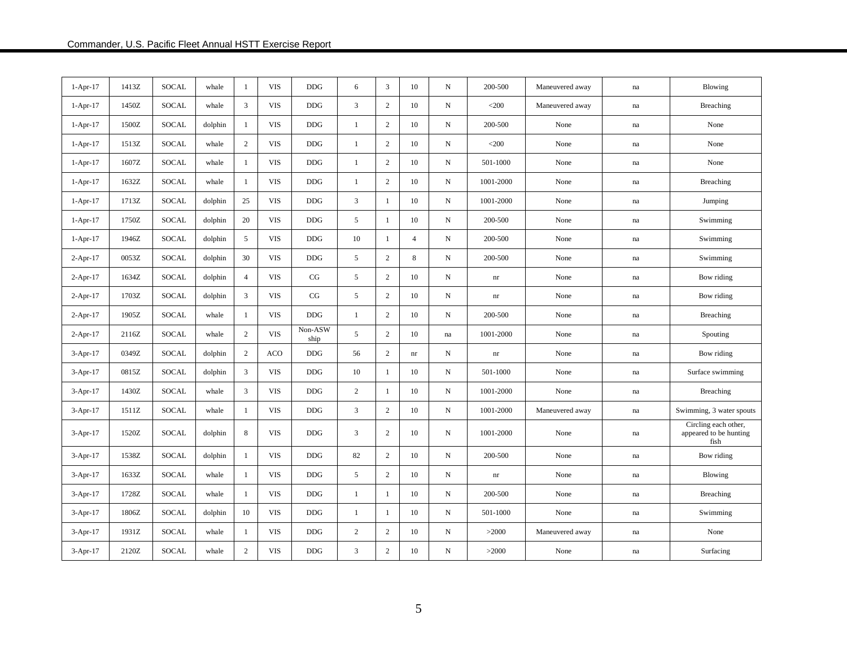| $1-Apr-17$ | 1413Z | SOCAL        | whale   | -1             | <b>VIS</b> | <b>DDG</b>      | 6              | 3              | 10                     | $\mathbf N$  | 200-500                    | Maneuvered away | na                  | Blowing                                                |
|------------|-------|--------------|---------|----------------|------------|-----------------|----------------|----------------|------------------------|--------------|----------------------------|-----------------|---------------------|--------------------------------------------------------|
| $1-Apr-17$ | 1450Z | <b>SOCAL</b> | whale   | 3              | <b>VIS</b> | <b>DDG</b>      | $\mathfrak{Z}$ | 2              | 10                     | $\mathbf N$  | $<$ 200                    | Maneuvered away | $\operatorname{na}$ | Breaching                                              |
| $1-Apr-17$ | 1500Z | <b>SOCAL</b> | dolphin | 1              | <b>VIS</b> | <b>DDG</b>      | $\mathbf{1}$   | $\overline{2}$ | 10                     | ${\bf N}$    | 200-500                    | None            | na                  | None                                                   |
| $1-Apr-17$ | 1513Z | SOCAL        | whale   | $\overline{2}$ | <b>VIS</b> | <b>DDG</b>      | $\mathbf{1}$   | $\overline{c}$ | 10                     | ${\bf N}$    | $<$ 200 $\,$               | None            | $\operatorname{na}$ | None                                                   |
| $1-Apr-17$ | 1607Z | SOCAL        | whale   | -1             | <b>VIS</b> | <b>DDG</b>      | $\mathbf{1}$   | $\sqrt{2}$     | 10                     | $\mathbf N$  | 501-1000                   | None            | na                  | None                                                   |
| $1-Apr-17$ | 1632Z | SOCAL        | whale   | 1              | <b>VIS</b> | <b>DDG</b>      | $\mathbf{1}$   | $\sqrt{2}$     | 10                     | $\mathbf N$  | 1001-2000                  | None            | $\operatorname{na}$ | Breaching                                              |
| $1-Apr-17$ | 1713Z | <b>SOCAL</b> | dolphin | 25             | <b>VIS</b> | <b>DDG</b>      | 3              | 1              | 10                     | $\mathbf N$  | 1001-2000                  | None            | $\operatorname{na}$ | Jumping                                                |
| $1-Apr-17$ | 1750Z | SOCAL        | dolphin | 20             | <b>VIS</b> | <b>DDG</b>      | 5              | 1              | 10                     | $\, {\bf N}$ | 200-500                    | None            | na                  | Swimming                                               |
| $1-Apr-17$ | 1946Z | SOCAL        | dolphin | 5              | <b>VIS</b> | <b>DDG</b>      | 10             | 1              | $\overline{4}$         | $\mathbf N$  | 200-500                    | None            | na                  | Swimming                                               |
| $2-Apr-17$ | 0053Z | <b>SOCAL</b> | dolphin | 30             | <b>VIS</b> | <b>DDG</b>      | 5              | $\mathbf{2}$   | 8                      | $\mathbf N$  | 200-500                    | None            | na                  | Swimming                                               |
| $2-Apr-17$ | 1634Z | <b>SOCAL</b> | dolphin | $\overline{4}$ | <b>VIS</b> | CG              | 5              | $\overline{2}$ | 10                     | ${\bf N}$    | $\mathop{\rm nr}\nolimits$ | None            | na                  | Bow riding                                             |
| $2-Apr-17$ | 1703Z | SOCAL        | dolphin | 3              | <b>VIS</b> | CG              | 5              | $\overline{c}$ | 10                     | $\, {\rm N}$ | $\mathop{\rm nr}\nolimits$ | None            | na                  | Bow riding                                             |
| $2-Apr-17$ | 1905Z | <b>SOCAL</b> | whale   | 1              | <b>VIS</b> | <b>DDG</b>      | 1              | $\overline{2}$ | 10                     | ${\bf N}$    | 200-500                    | None            | na                  | Breaching                                              |
| $2-Apr-17$ | 2116Z | <b>SOCAL</b> | whale   | $\overline{c}$ | <b>VIS</b> | Non-ASW<br>ship | 5              | $\overline{2}$ | 10                     | na           | 1001-2000                  | None            | na                  | Spouting                                               |
| $3-Apr-17$ | 0349Z | SOCAL        | dolphin | $\overline{c}$ | ACO        | $DDG$           | 56             | $\sqrt{2}$     | $\mathop{\mathrm{nr}}$ | $\, {\rm N}$ | $\mathop{\rm nr}\nolimits$ | None            | na                  | Bow riding                                             |
| $3-Apr-17$ | 0815Z | SOCAL        | dolphin | 3              | <b>VIS</b> | <b>DDG</b>      | 10             | 1              | 10                     | ${\bf N}$    | 501-1000                   | None            | na                  | Surface swimming                                       |
| $3-Apr-17$ | 1430Z | <b>SOCAL</b> | whale   | 3              | <b>VIS</b> | <b>DDG</b>      | $\sqrt{2}$     | 1              | 10                     | ${\bf N}$    | 1001-2000                  | None            | na                  | Breaching                                              |
| $3-Apr-17$ | 1511Z | SOCAL        | whale   | $\mathbf{1}$   | <b>VIS</b> | <b>DDG</b>      | $\mathfrak{Z}$ | $\overline{c}$ | 10                     | ${\bf N}$    | 1001-2000                  | Maneuvered away | na                  | Swimming, 3 water spouts                               |
| $3-Apr-17$ | 1520Z | SOCAL        | dolphin | 8              | <b>VIS</b> | <b>DDG</b>      | 3              | $\overline{c}$ | 10                     | $\mathbf N$  | 1001-2000                  | None            | na                  | Circling each other,<br>appeared to be hunting<br>fish |
| 3-Apr-17   | 1538Z | SOCAL        | dolphin | $\mathbf{1}$   | <b>VIS</b> | <b>DDG</b>      | 82             | $\sqrt{2}$     | 10                     | ${\bf N}$    | 200-500                    | None            | na                  | Bow riding                                             |
| $3-Apr-17$ | 1633Z | SOCAL        | whale   | $\mathbf{1}$   | <b>VIS</b> | <b>DDG</b>      | 5              | $\overline{2}$ | 10                     | ${\bf N}$    | nr                         | None            | na                  | Blowing                                                |
| $3-Apr-17$ | 1728Z | SOCAL        | whale   | $\mathbf{1}$   | <b>VIS</b> | <b>DDG</b>      | $\mathbf{1}$   | 1              | 10                     | N            | 200-500                    | None            | na                  | Breaching                                              |
| $3-Apr-17$ | 1806Z | SOCAL        | dolphin | 10             | <b>VIS</b> | <b>DDG</b>      | $\mathbf{1}$   | -1             | 10                     | $\mathbf N$  | 501-1000                   | None            | na                  | Swimming                                               |
| $3-Apr-17$ | 1931Z | SOCAL        | whale   | $\mathbf{1}$   | <b>VIS</b> | <b>DDG</b>      | $\overline{c}$ | $\mathbf{2}$   | 10                     | ${\bf N}$    | >2000                      | Maneuvered away | $\operatorname{na}$ | None                                                   |
| $3-Apr-17$ | 2120Z | <b>SOCAL</b> | whale   | $\mathbf{2}$   | <b>VIS</b> | <b>DDG</b>      | $\mathfrak{Z}$ | $\sqrt{2}$     | 10                     | ${\bf N}$    | >2000                      | None            | na                  | Surfacing                                              |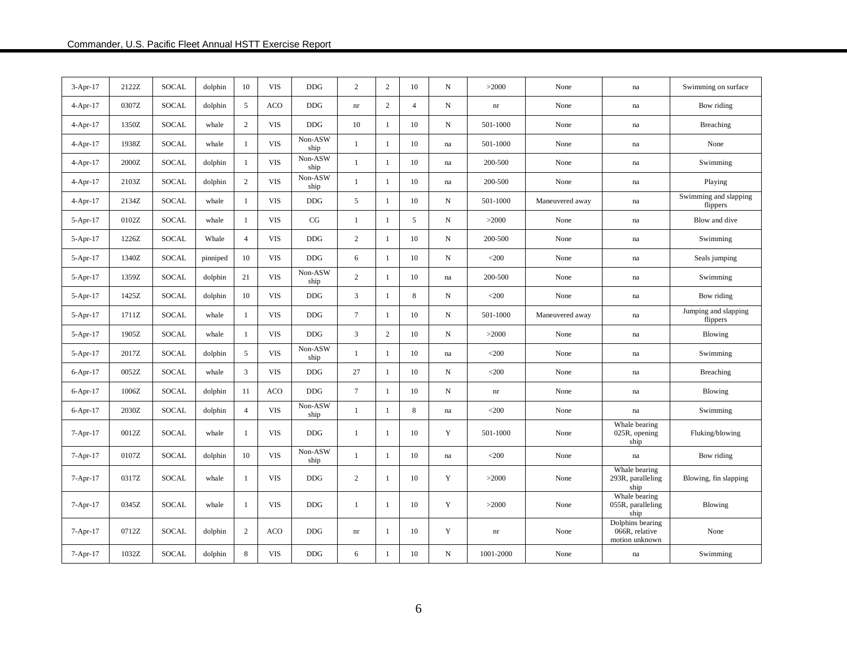| $3-Apr-17$     | 2122Z | <b>SOCAL</b> | dolphin  | 10             | <b>VIS</b> | <b>DDG</b>      | $\overline{c}$             | 2            | 10             | ${\bf N}$           | >2000                      | None            | na                                                   | Swimming on surface               |
|----------------|-------|--------------|----------|----------------|------------|-----------------|----------------------------|--------------|----------------|---------------------|----------------------------|-----------------|------------------------------------------------------|-----------------------------------|
| $4 - Apr - 17$ | 0307Z | <b>SOCAL</b> | dolphin  | 5              | ACO        | <b>DDG</b>      | nr                         | $\mathbf{2}$ | $\overline{4}$ | $\mathbf N$         | $\mathop{\rm nr}\nolimits$ | None            | na                                                   | Bow riding                        |
| $4-Apr-17$     | 1350Z | <b>SOCAL</b> | whale    | $\mathbf{2}$   | <b>VIS</b> | <b>DDG</b>      | 10                         | 1            | 10             | ${\bf N}$           | 501-1000                   | None            | $\operatorname{na}$                                  | Breaching                         |
| $4-Apr-17$     | 1938Z | SOCAL        | whale    | $\mathbf{1}$   | <b>VIS</b> | Non-ASW<br>ship | $\mathbf{1}$               | 1            | $10\,$         | $\operatorname{na}$ | 501-1000                   | None            | $\operatorname{na}$                                  | None                              |
| $4-Apr-17$     | 2000Z | <b>SOCAL</b> | dolphin  | $\mathbf{1}$   | <b>VIS</b> | Non-ASW<br>ship | $\mathbf{1}$               | $\mathbf{1}$ | 10             | na                  | 200-500                    | None            | na                                                   | Swimming                          |
| $4-Apr-17$     | 2103Z | SOCAL        | dolphin  | $\overline{2}$ | <b>VIS</b> | Non-ASW<br>ship | $\mathbf{1}$               | $\mathbf{1}$ | 10             | na                  | 200-500                    | None            | na                                                   | Playing                           |
| $4-Apr-17$     | 2134Z | <b>SOCAL</b> | whale    | $\mathbf{1}$   | <b>VIS</b> | <b>DDG</b>      | 5                          | $\mathbf{1}$ | 10             | ${\bf N}$           | 501-1000                   | Maneuvered away | na                                                   | Swimming and slapping<br>flippers |
| $5-Apr-17$     | 0102Z | <b>SOCAL</b> | whale    | 1              | <b>VIS</b> | CG              | 1                          | 1            | 5              | ${\bf N}$           | >2000                      | None            | na                                                   | Blow and dive                     |
| $5-Apr-17$     | 1226Z | <b>SOCAL</b> | Whale    | $\overline{4}$ | <b>VIS</b> | <b>DDG</b>      | $\overline{c}$             | 1            | 10             | $\mathbf N$         | 200-500                    | None            | na                                                   | Swimming                          |
| $5-Apr-17$     | 1340Z | <b>SOCAL</b> | pinniped | 10             | <b>VIS</b> | <b>DDG</b>      | 6                          | 1            | 10             | ${\bf N}$           | $<$ 200                    | None            | na                                                   | Seals jumping                     |
| $5-Apr-17$     | 1359Z | <b>SOCAL</b> | dolphin  | 21             | <b>VIS</b> | Non-ASW<br>ship | $\overline{c}$             | 1            | 10             | na                  | 200-500                    | None            | na                                                   | Swimming                          |
| $5-Apr-17$     | 1425Z | <b>SOCAL</b> | dolphin  | 10             | <b>VIS</b> | <b>DDG</b>      | 3                          | $\mathbf{1}$ | 8              | ${\bf N}$           | $<$ 200                    | None            | na                                                   | Bow riding                        |
| 5-Apr-17       | 1711Z | SOCAL        | whale    | $\mathbf{1}$   | <b>VIS</b> | <b>DDG</b>      | $\tau$                     | $\mathbf{1}$ | 10             | N                   | 501-1000                   | Maneuvered away | na                                                   | Jumping and slapping<br>flippers  |
| $5-Apr-17$     | 1905Z | <b>SOCAL</b> | whale    | $\mathbf{1}$   | <b>VIS</b> | <b>DDG</b>      | 3                          | $\mathbf{2}$ | 10             | $\mathbf N$         | >2000                      | None            | na                                                   | Blowing                           |
| 5-Apr-17       | 2017Z | SOCAL        | dolphin  | 5              | <b>VIS</b> | Non-ASW<br>ship | $\mathbf{1}$               | $\mathbf{1}$ | 10             | $\operatorname{na}$ | $<$ 200                    | None            | $\operatorname{na}$                                  | Swimming                          |
| $6-Apr-17$     | 0052Z | SOCAL        | whale    | 3              | <b>VIS</b> | <b>DDG</b>      | 27                         | -1           | 10             | ${\bf N}$           | $<$ 200                    | None            | na                                                   | Breaching                         |
| 6-Apr-17       | 1006Z | <b>SOCAL</b> | dolphin  | 11             | ACO        | $DDG$           | $\tau$                     | 1            | 10             | ${\bf N}$           | $\mathop{\rm nr}\nolimits$ | None            | na                                                   | Blowing                           |
| $6-Apr-17$     | 2030Z | <b>SOCAL</b> | dolphin  | $\overline{4}$ | <b>VIS</b> | Non-ASW<br>ship | $\mathbf{1}$               | 1            | 8              | na                  | $<$ 200                    | None            | na                                                   | Swimming                          |
| $7-Apr-17$     | 0012Z | SOCAL        | whale    | 1              | <b>VIS</b> | <b>DDG</b>      | 1                          | 1            | 10             | Y                   | 501-1000                   | None            | Whale bearing<br>025R, opening<br>ship               | Fluking/blowing                   |
| $7-Apr-17$     | 0107Z | <b>SOCAL</b> | dolphin  | 10             | <b>VIS</b> | Non-ASW<br>ship | $\mathbf{1}$               | $\mathbf{1}$ | $10\,$         | $\operatorname{na}$ | $<$ 200                    | None            | $\operatorname{na}$                                  | Bow riding                        |
| $7-Apr-17$     | 0317Z | SOCAL        | whale    | $\mathbf{1}$   | <b>VIS</b> | <b>DDG</b>      | $\overline{c}$             | 1            | 10             | $\mathbf Y$         | >2000                      | None            | Whale bearing<br>293R, paralleling<br>ship           | Blowing, fin slapping             |
| $7-Apr-17$     | 0345Z | <b>SOCAL</b> | whale    | 1              | <b>VIS</b> | <b>DDG</b>      | $\mathbf{1}$               | -1           | 10             | Y                   | >2000                      | None            | Whale bearing<br>055R, paralleling<br>ship           | Blowing                           |
| $7-Apr-17$     | 0712Z | SOCAL        | dolphin  | 2              | ACO        | <b>DDG</b>      | $\mathop{\rm nr}\nolimits$ | -1           | 10             | Y                   | nr                         | None            | Dolphins bearing<br>066R, relative<br>motion unknown | None                              |
| $7-Apr-17$     | 1032Z | <b>SOCAL</b> | dolphin  | 8              | <b>VIS</b> | <b>DDG</b>      | 6                          | -1           | 10             | ${\bf N}$           | 1001-2000                  | None            | na                                                   | Swimming                          |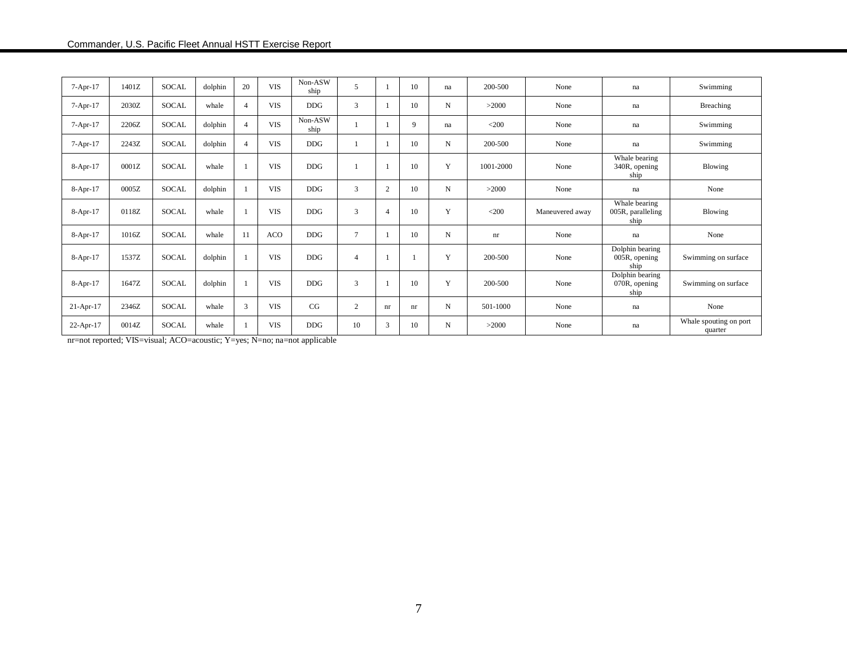| $7-Apr-17$  | 1401Z | <b>SOCAL</b> | dolphin | 20 | <b>VIS</b> | Non-ASW<br>ship | 5              |                | 10 | na          | 200-500   | None            | na                                         | Swimming                          |
|-------------|-------|--------------|---------|----|------------|-----------------|----------------|----------------|----|-------------|-----------|-----------------|--------------------------------------------|-----------------------------------|
| $7-Apr-17$  | 2030Z | <b>SOCAL</b> | whale   |    | <b>VIS</b> | DDG             | 3              |                | 10 | N           | >2000     | None            | na                                         | Breaching                         |
| $7-Apr-17$  | 2206Z | <b>SOCAL</b> | dolphin |    | <b>VIS</b> | Non-ASW<br>ship |                |                | 9  | na          | $<$ 200   | None            | na                                         | Swimming                          |
| $7-Apr-17$  | 2243Z | SOCAL        | dolphin |    | <b>VIS</b> | DDG             |                |                | 10 | N           | 200-500   | None            | na                                         | Swimming                          |
| $8-Apr-17$  | 0001Z | <b>SOCAL</b> | whale   |    | <b>VIS</b> | <b>DDG</b>      |                |                | 10 | Y           | 1001-2000 | None            | Whale bearing<br>340R, opening<br>ship     | Blowing                           |
| $8-Apr-17$  | 0005Z | <b>SOCAL</b> | dolphin |    | <b>VIS</b> | <b>DDG</b>      | 3              | $\overline{2}$ | 10 | N           | >2000     | None            | $\operatorname{na}$                        | None                              |
| $8-Apr-17$  | 0118Z | SOCAL        | whale   |    | <b>VIS</b> | <b>DDG</b>      | 3              | $\overline{4}$ | 10 | Y           | $<$ 200   | Maneuvered away | Whale bearing<br>005R, paralleling<br>ship | Blowing                           |
| $8-Apr-17$  | 1016Z | <b>SOCAL</b> | whale   | 11 | ACO        | <b>DDG</b>      | $\overline{7}$ |                | 10 | $\mathbf N$ | nr        | None            | $\operatorname{na}$                        | None                              |
| $8-Apr-17$  | 1537Z | <b>SOCAL</b> | dolphin |    | <b>VIS</b> | <b>DDG</b>      | $\overline{4}$ |                |    | Y           | 200-500   | None            | Dolphin bearing<br>005R, opening<br>ship   | Swimming on surface               |
| $8-Apr-17$  | 1647Z | SOCAL        | dolphin |    | <b>VIS</b> | <b>DDG</b>      | $\overline{3}$ |                | 10 | Y           | 200-500   | None            | Dolphin bearing<br>070R, opening<br>ship   | Swimming on surface               |
| $21-Apr-17$ | 2346Z | <b>SOCAL</b> | whale   | 3  | <b>VIS</b> | CG              | 2              | nr             | nr | N           | 501-1000  | None            | na                                         | None                              |
| 22-Apr-17   | 0014Z | <b>SOCAL</b> | whale   |    | <b>VIS</b> | DDG             | 10             | 3              | 10 | N           | >2000     | None            | na                                         | Whale spouting on port<br>quarter |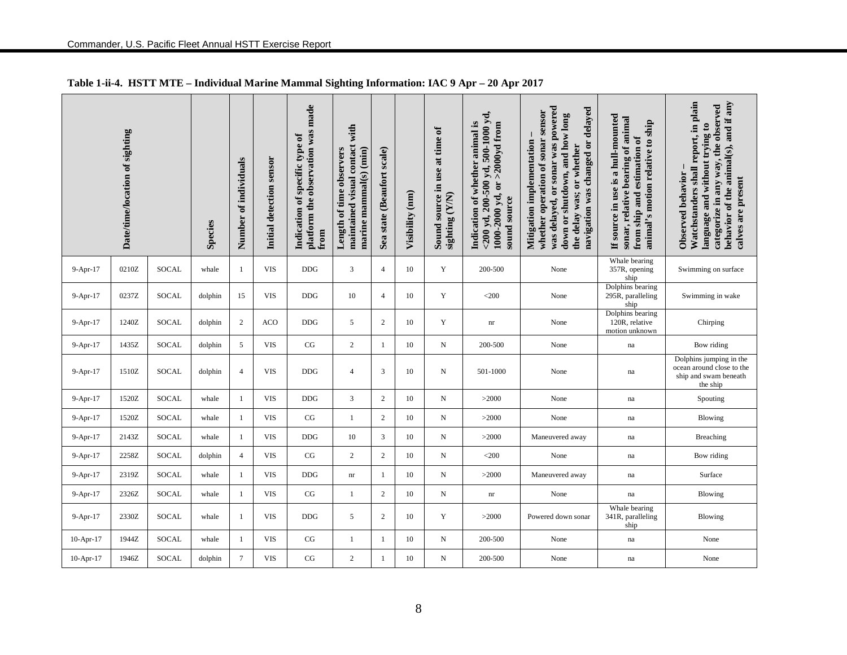|             | Date/time/location of sighting |              | Species | Number of individuals | Initial detection sensor | platform the observation was made<br>Indication of specific type of<br>from | with<br>maintained visual contact<br>marine mammal(s) (min)<br>Length of time observers | Sea state (Beaufort scale) | Visibility (nm) | Sound source in use at time of<br>sighting (Y/N) | $<$ 200 yd, 200-500 yd, 500-1000 yd,<br>Indication of whether animal is<br>$>2000yd$ from<br>1000-2000 yd, or<br>sound source | was delayed, or sonar was powered<br>navigation was changed or delayed<br>whether operation of sonar sensor<br>down or shutdown, and how long<br>Mitigation implementation<br>the delay was; or whether | If source in use is a hull-mounted<br>sonar, relative bearing of animal<br>animal's motion relative to ship<br>from ship and estimation of | Watchstanders shall report, in plain<br>behavior of the animal(s), and if any<br>categorize in any way, the observed<br>language and without trying to<br>Observed behavior<br>calves are present |
|-------------|--------------------------------|--------------|---------|-----------------------|--------------------------|-----------------------------------------------------------------------------|-----------------------------------------------------------------------------------------|----------------------------|-----------------|--------------------------------------------------|-------------------------------------------------------------------------------------------------------------------------------|---------------------------------------------------------------------------------------------------------------------------------------------------------------------------------------------------------|--------------------------------------------------------------------------------------------------------------------------------------------|---------------------------------------------------------------------------------------------------------------------------------------------------------------------------------------------------|
| 9-Apr-17    | 0210Z                          | SOCAL        | whale   | -1                    | <b>VIS</b>               | $DDG$                                                                       | 3                                                                                       | $\overline{4}$             | 10              | Y                                                | 200-500                                                                                                                       | None                                                                                                                                                                                                    | Whale bearing<br>357R, opening<br>ship                                                                                                     | Swimming on surface                                                                                                                                                                               |
| $9-Apr-17$  | 0237Z                          | <b>SOCAL</b> | dolphin | 15                    | <b>VIS</b>               | <b>DDG</b>                                                                  | 10                                                                                      | $\overline{4}$             | 10              | Y                                                | $<$ 200                                                                                                                       | None                                                                                                                                                                                                    | Dolphins bearing<br>295R, paralleling<br>ship                                                                                              | Swimming in wake                                                                                                                                                                                  |
| 9-Apr-17    | 1240Z                          | SOCAL        | dolphin | $\overline{2}$        | <b>ACO</b>               | <b>DDG</b>                                                                  | 5                                                                                       | $\overline{2}$             | 10              | Y                                                | nr                                                                                                                            | None                                                                                                                                                                                                    | Dolphins bearing<br>120R, relative<br>motion unknown                                                                                       | Chirping                                                                                                                                                                                          |
| 9-Apr-17    | 1435Z                          | SOCAL        | dolphin | 5                     | <b>VIS</b>               | CG                                                                          | 2                                                                                       | $\mathbf{1}$               | 10              | N                                                | 200-500                                                                                                                       | None                                                                                                                                                                                                    | $\operatorname{na}$                                                                                                                        | Bow riding                                                                                                                                                                                        |
| 9-Apr-17    | 1510Z                          | <b>SOCAL</b> | dolphin | $\overline{4}$        | <b>VIS</b>               | <b>DDG</b>                                                                  | $\overline{4}$                                                                          | 3                          | 10              | N                                                | 501-1000                                                                                                                      | None                                                                                                                                                                                                    | na                                                                                                                                         | Dolphins jumping in the<br>ocean around close to the<br>ship and swam beneath<br>the ship                                                                                                         |
| 9-Apr-17    | 1520Z                          | SOCAL        | whale   | 1                     | <b>VIS</b>               | <b>DDG</b>                                                                  | 3                                                                                       | $\overline{2}$             | 10              | N                                                | >2000                                                                                                                         | None                                                                                                                                                                                                    | $\operatorname{na}$                                                                                                                        | Spouting                                                                                                                                                                                          |
| 9-Apr-17    | 1520Z                          | SOCAL        | whale   | 1                     | <b>VIS</b>               | CG                                                                          | 1                                                                                       | $\overline{2}$             | 10              | N                                                | >2000                                                                                                                         | None                                                                                                                                                                                                    | na                                                                                                                                         | Blowing                                                                                                                                                                                           |
| 9-Apr-17    | 2143Z                          | SOCAL        | whale   | 1                     | <b>VIS</b>               | <b>DDG</b>                                                                  | 10                                                                                      | 3                          | 10              | N                                                | >2000                                                                                                                         | Maneuvered away                                                                                                                                                                                         | na                                                                                                                                         | <b>Breaching</b>                                                                                                                                                                                  |
| 9-Apr-17    | 2258Z                          | SOCAL        | dolphin | $\overline{4}$        | <b>VIS</b>               | CG                                                                          | $\overline{c}$                                                                          | 2                          | 10              | N                                                | $<$ 200                                                                                                                       | None                                                                                                                                                                                                    | $\operatorname{na}$                                                                                                                        | Bow riding                                                                                                                                                                                        |
| 9-Apr-17    | 2319Z                          | SOCAL        | whale   | 1                     | <b>VIS</b>               | <b>DDG</b>                                                                  | $\mathop{\rm nr}\nolimits$                                                              | -1                         | 10              | N                                                | >2000                                                                                                                         | Maneuvered away                                                                                                                                                                                         | $\operatorname{na}$                                                                                                                        | Surface                                                                                                                                                                                           |
| 9-Apr-17    | 2326Z                          | SOCAL        | whale   | -1                    | <b>VIS</b>               | CG                                                                          | 1                                                                                       | 2                          | 10              | N                                                | $\mathop{\rm nr}\nolimits$                                                                                                    | None                                                                                                                                                                                                    | $\operatorname{na}$                                                                                                                        | Blowing                                                                                                                                                                                           |
| 9-Apr-17    | 2330Z                          | <b>SOCAL</b> | whale   | 1                     | <b>VIS</b>               | <b>DDG</b>                                                                  | 5                                                                                       | 2                          | 10              | Y                                                | >2000                                                                                                                         | Powered down sonar                                                                                                                                                                                      | Whale bearing<br>341R, paralleling<br>ship                                                                                                 | Blowing                                                                                                                                                                                           |
| $10-Apr-17$ | 1944Z                          | SOCAL        | whale   | 1                     | <b>VIS</b>               | CG                                                                          | 1                                                                                       | $\mathbf{1}$               | 10              | N                                                | 200-500                                                                                                                       | None                                                                                                                                                                                                    | na                                                                                                                                         | None                                                                                                                                                                                              |
| 10-Apr-17   | 1946Z                          | SOCAL        | dolphin | $\tau$                | <b>VIS</b>               | CG                                                                          | 2                                                                                       | $\overline{1}$             | 10              | N                                                | 200-500                                                                                                                       | None                                                                                                                                                                                                    | na                                                                                                                                         | None                                                                                                                                                                                              |

## **Table 1-ii-4. HSTT MTE – Individual Marine Mammal Sighting Information: IAC 9 Apr – 20 Apr 2017**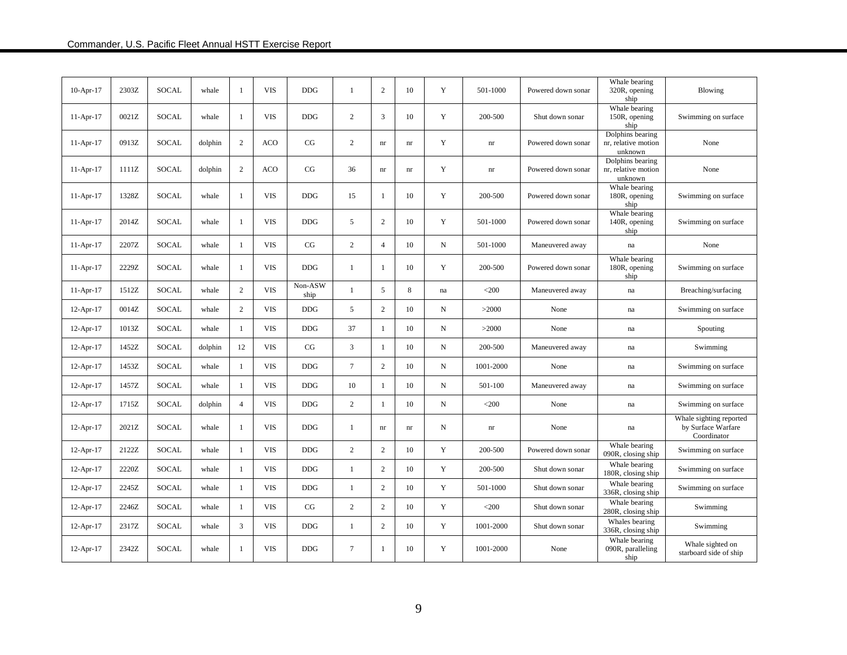|             |       |              |         |                |            |                 |                |                            |    |    |           |                    | Whale bearing                                         |                                                              |
|-------------|-------|--------------|---------|----------------|------------|-----------------|----------------|----------------------------|----|----|-----------|--------------------|-------------------------------------------------------|--------------------------------------------------------------|
| $10-Apr-17$ | 2303Z | <b>SOCAL</b> | whale   | -1             | <b>VIS</b> | <b>DDG</b>      | 1              | $\overline{2}$             | 10 | Y  | 501-1000  | Powered down sonar | 320R, opening<br>ship                                 | <b>Blowing</b>                                               |
| $11-Apr-17$ | 0021Z | SOCAL        | whale   | 1              | <b>VIS</b> | <b>DDG</b>      | $\overline{c}$ | 3                          | 10 | Y  | 200-500   | Shut down sonar    | Whale bearing<br>150R, opening                        | Swimming on surface                                          |
|             |       |              |         |                |            |                 |                |                            |    |    |           |                    | ship<br>Dolphins bearing                              |                                                              |
| $11-Apr-17$ | 0913Z | SOCAL        | dolphin | $\overline{2}$ | <b>ACO</b> | CG              | 2              | $\mathop{\rm nr}\nolimits$ | nr | Y  | nr        | Powered down sonar | nr, relative motion                                   | None                                                         |
|             |       |              |         |                |            |                 |                |                            |    |    |           |                    | unknown<br>Dolphins bearing                           |                                                              |
| $11-Apr-17$ | 1111Z | <b>SOCAL</b> | dolphin | $\overline{c}$ | <b>ACO</b> | CG              | 36             | nr                         | nr | Y  | nr        | Powered down sonar | nr, relative motion                                   | None                                                         |
|             |       |              |         |                |            |                 |                |                            |    |    |           |                    | unknown<br>Whale bearing                              |                                                              |
| 11-Apr-17   | 1328Z | SOCAL        | whale   | 1              | <b>VIS</b> | <b>DDG</b>      | 15             | $\overline{1}$             | 10 | Y  | 200-500   | Powered down sonar | 180R, opening<br>ship                                 | Swimming on surface                                          |
| $11-Apr-17$ | 2014Z | SOCAL        | whale   | -1             | <b>VIS</b> | <b>DDG</b>      | 5              | 2                          | 10 | Y  | 501-1000  | Powered down sonar | Whale bearing<br>140R, opening                        | Swimming on surface                                          |
|             |       |              |         |                |            |                 |                |                            |    |    |           |                    | ship                                                  |                                                              |
| $11-Apr-17$ | 2207Z | <b>SOCAL</b> | whale   | -1             | <b>VIS</b> | CG              | 2              | $\overline{4}$             | 10 | N  | 501-1000  | Maneuvered away    | na                                                    | None                                                         |
| $11-Apr-17$ | 2229Z | <b>SOCAL</b> | whale   | -1             | <b>VIS</b> | <b>DDG</b>      | 1              | $\mathbf{1}$               | 10 | Y  | 200-500   | Powered down sonar | Whale bearing<br>180R, opening                        | Swimming on surface                                          |
|             |       |              |         |                |            |                 |                |                            |    |    |           |                    | ship                                                  |                                                              |
| 11-Apr-17   | 1512Z | <b>SOCAL</b> | whale   | 2              | <b>VIS</b> | Non-ASW<br>ship | -1             | 5                          | 8  | na | $<$ 200   | Maneuvered away    | na                                                    | Breaching/surfacing                                          |
| $12-Apr-17$ | 0014Z | SOCAL        | whale   | $\overline{2}$ | <b>VIS</b> | <b>DDG</b>      | 5              | 2                          | 10 | N  | >2000     | None               | na                                                    | Swimming on surface                                          |
| 12-Apr-17   | 1013Z | SOCAL        | whale   | -1             | <b>VIS</b> | <b>DDG</b>      | 37             | $\overline{1}$             | 10 | N  | >2000     | None               | na                                                    | Spouting                                                     |
| 12-Apr-17   | 1452Z | <b>SOCAL</b> | dolphin | 12             | <b>VIS</b> | CG              | 3              | $\overline{1}$             | 10 | N  | 200-500   | Maneuvered away    | na                                                    | Swimming                                                     |
|             |       |              |         |                |            |                 |                |                            |    |    |           |                    |                                                       |                                                              |
| 12-Apr-17   | 1453Z | SOCAL        | whale   | -1             | <b>VIS</b> | <b>DDG</b>      | $\tau$         | 2                          | 10 | N  | 1001-2000 | None               | na                                                    | Swimming on surface                                          |
| 12-Apr-17   | 1457Z | SOCAL        | whale   | -1             | <b>VIS</b> | <b>DDG</b>      | 10             | $\mathbf{1}$               | 10 | N  | 501-100   | Maneuvered away    | na                                                    | Swimming on surface                                          |
| 12-Apr-17   | 1715Z | SOCAL        | dolphin | $\overline{4}$ | <b>VIS</b> | <b>DDG</b>      | 2              | -1                         | 10 | N  | $<$ 200   | None               | na                                                    | Swimming on surface                                          |
| $12-Apr-17$ | 2021Z | SOCAL        | whale   | -1             | <b>VIS</b> | <b>DDG</b>      | $\mathbf{1}$   | nr                         | nr | N  | nr        | None               | na                                                    | Whale sighting reported<br>by Surface Warfare<br>Coordinator |
| 12-Apr-17   | 2122Z | SOCAL        | whale   | -1             | <b>VIS</b> | <b>DDG</b>      | $\overline{2}$ | 2                          | 10 | Y  | 200-500   | Powered down sonar | Whale bearing<br>090R, closing ship                   | Swimming on surface                                          |
| 12-Apr-17   | 2220Z | <b>SOCAL</b> | whale   | -1             | <b>VIS</b> | <b>DDG</b>      | $\mathbf{1}$   | 2                          | 10 | Y  | 200-500   | Shut down sonar    | Whale bearing<br>180R, closing ship                   | Swimming on surface                                          |
| $12-Apr-17$ | 2245Z | SOCAL        | whale   | -1             | <b>VIS</b> | <b>DDG</b>      | $\mathbf{1}$   | 2                          | 10 | Y  | 501-1000  | Shut down sonar    | Whale bearing<br>336R, closing ship                   | Swimming on surface                                          |
| 12-Apr-17   | 2246Z | SOCAL        | whale   | -1             | <b>VIS</b> | CG              | 2              | 2                          | 10 | Y  | $<$ 200   | Shut down sonar    | Whale bearing<br>280R, closing ship                   | Swimming                                                     |
| 12-Apr-17   | 2317Z | SOCAL        | whale   | 3              | <b>VIS</b> | <b>DDG</b>      | $\mathbf{1}$   | $\overline{2}$             | 10 | Y  | 1001-2000 | Shut down sonar    | Whales bearing<br>336R, closing ship<br>Whale bearing | Swimming                                                     |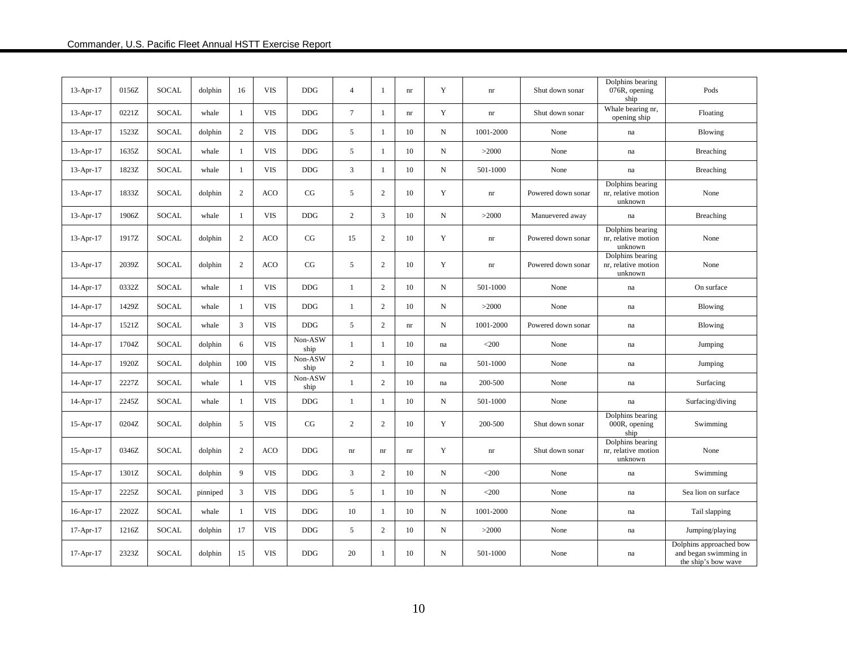| $13-Apr-17$ | 0156Z | <b>SOCAL</b> | dolphin  | 16           | <b>VIS</b> | <b>DDG</b>      | $\overline{4}$ | -1             | $\mathop{\rm nr}\nolimits$ | Y            | $\mathop{\rm nr}\nolimits$ | Shut down sonar    | Dolphins bearing<br>076R, opening<br>ship          | Pods                                                                    |
|-------------|-------|--------------|----------|--------------|------------|-----------------|----------------|----------------|----------------------------|--------------|----------------------------|--------------------|----------------------------------------------------|-------------------------------------------------------------------------|
| 13-Apr-17   | 0221Z | <b>SOCAL</b> | whale    | 1            | <b>VIS</b> | $DDG$           | $\tau$         | 1              | $\mathop{\rm nr}\nolimits$ | $\mathbf Y$  | $\mathop{\mathrm{nr}}$     | Shut down sonar    | Whale bearing nr,<br>opening ship                  | Floating                                                                |
| 13-Apr-17   | 1523Z | SOCAL        | dolphin  | 2            | <b>VIS</b> | <b>DDG</b>      | 5              | $\mathbf{1}$   | 10                         | $\, {\bf N}$ | 1001-2000                  | None               | $\mathbf{na}$                                      | Blowing                                                                 |
| 13-Apr-17   | 1635Z | SOCAL        | whale    | $\mathbf{1}$ | <b>VIS</b> | <b>DDG</b>      | 5              | $\mathbf{1}$   | 10                         | N            | >2000                      | None               | $\operatorname{na}$                                | <b>Breaching</b>                                                        |
| 13-Apr-17   | 1823Z | <b>SOCAL</b> | whale    | $\mathbf{1}$ | <b>VIS</b> | <b>DDG</b>      | $\mathfrak{Z}$ | $\mathbf{1}$   | $10\,$                     | N            | 501-1000                   | None               | $\operatorname{na}$                                | Breaching                                                               |
| $13-Apr-17$ | 1833Z | SOCAL        | dolphin  | 2            | <b>ACO</b> | CG              | 5              | $\overline{c}$ | 10                         | Y            | nr                         | Powered down sonar | Dolphins bearing<br>nr, relative motion<br>unknown | None                                                                    |
| $13-Apr-17$ | 1906Z | SOCAL        | whale    | $\mathbf{1}$ | <b>VIS</b> | <b>DDG</b>      | $\overline{c}$ | 3              | 10                         | N            | >2000                      | Manuevered away    | na                                                 | Breaching                                                               |
| $13-Apr-17$ | 1917Z | SOCAL        | dolphin  | 2            | <b>ACO</b> | CG              | 15             | $\overline{2}$ | 10                         | Y            | $\mathop{\rm nr}\nolimits$ | Powered down sonar | Dolphins bearing<br>nr, relative motion<br>unknown | None                                                                    |
| $13-Apr-17$ | 2039Z | SOCAL        | dolphin  | 2            | <b>ACO</b> | CG              | 5              | $\overline{2}$ | 10                         | Y            | $\mathop{\rm nr}\nolimits$ | Powered down sonar | Dolphins bearing<br>nr, relative motion<br>unknown | None                                                                    |
| $14-Apr-17$ | 0332Z | <b>SOCAL</b> | whale    | $\mathbf{1}$ | <b>VIS</b> | <b>DDG</b>      | $\mathbf{1}$   | 2              | 10                         | N            | 501-1000                   | None               | $\operatorname{na}$                                | On surface                                                              |
| 14-Apr-17   | 1429Z | SOCAL        | whale    | -1           | <b>VIS</b> | <b>DDG</b>      | $\mathbf{1}$   | 2              | 10                         | $_{\rm N}$   | >2000                      | None               | na                                                 | Blowing                                                                 |
| 14-Apr-17   | 1521Z | SOCAL        | whale    | 3            | <b>VIS</b> | <b>DDG</b>      | 5              | 2              | $\mathop{\rm nr}\nolimits$ | N            | 1001-2000                  | Powered down sonar | $\operatorname{na}$                                | Blowing                                                                 |
| 14-Apr-17   | 1704Z | SOCAL        | dolphin  | 6            | <b>VIS</b> | Non-ASW<br>ship | $\mathbf{1}$   | -1             | 10                         | na           | $<$ 200                    | None               | $\operatorname{na}$                                | Jumping                                                                 |
| 14-Apr-17   | 1920Z | <b>SOCAL</b> | dolphin  | 100          | <b>VIS</b> | Non-ASW<br>ship | $\overline{2}$ | 1              | 10                         | na           | 501-1000                   | None               | na                                                 | Jumping                                                                 |
| 14-Apr-17   | 2227Z | <b>SOCAL</b> | whale    | -1           | <b>VIS</b> | Non-ASW<br>ship | $\mathbf{1}$   | 2              | 10                         | na           | 200-500                    | None               | na                                                 | Surfacing                                                               |
| 14-Apr-17   | 2245Z | <b>SOCAL</b> | whale    | -1           | <b>VIS</b> | <b>DDG</b>      | $\mathbf{1}$   | -1             | 10                         | N            | 501-1000                   | None               | $\mathbf{na}$                                      | Surfacing/diving                                                        |
| 15-Apr-17   | 0204Z | <b>SOCAL</b> | dolphin  | 5            | <b>VIS</b> | CG              | $\overline{c}$ | $\overline{2}$ | 10                         | Y            | 200-500                    | Shut down sonar    | Dolphins bearing<br>000R, opening<br>ship          | Swimming                                                                |
| $15-Apr-17$ | 0346Z | <b>SOCAL</b> | dolphin  | 2            | <b>ACO</b> | <b>DDG</b>      | nr             | nr             | nr                         | Y            | $\mathop{\rm nr}\nolimits$ | Shut down sonar    | Dolphins bearing<br>nr, relative motion<br>unknown | None                                                                    |
| $15-Apr-17$ | 1301Z | <b>SOCAL</b> | dolphin  | 9            | <b>VIS</b> | $DDG$           | $\mathfrak{Z}$ | $\sqrt{2}$     | 10                         | $_{\rm N}$   | $<$ 200                    | None               | $\mathbf{na}$                                      | Swimming                                                                |
| 15-Apr-17   | 2225Z | SOCAL        | pinniped | 3            | <b>VIS</b> | <b>DDG</b>      | 5              | $\mathbf{1}$   | 10                         | N            | $<$ 200                    | None               | $\operatorname{na}$                                | Sea lion on surface                                                     |
| 16-Apr-17   | 2202Z | SOCAL        | whale    | $\mathbf{1}$ | <b>VIS</b> | <b>DDG</b>      | $10\,$         | $\mathbf{1}$   | $10\,$                     | N            | 1001-2000                  | None               | $\operatorname{na}$                                | Tail slapping                                                           |
| 17-Apr-17   | 1216Z | <b>SOCAL</b> | dolphin  | 17           | <b>VIS</b> | <b>DDG</b>      | 5              | $\sqrt{2}$     | $10\,$                     | N            | >2000                      | None               | $\operatorname{na}$                                | Jumping/playing                                                         |
| 17-Apr-17   | 2323Z | <b>SOCAL</b> | dolphin  | 15           | <b>VIS</b> | <b>DDG</b>      | 20             | $\mathbf{1}$   | 10                         | N            | 501-1000                   | None               | na                                                 | Dolphins approached bow<br>and began swimming in<br>the ship's bow wave |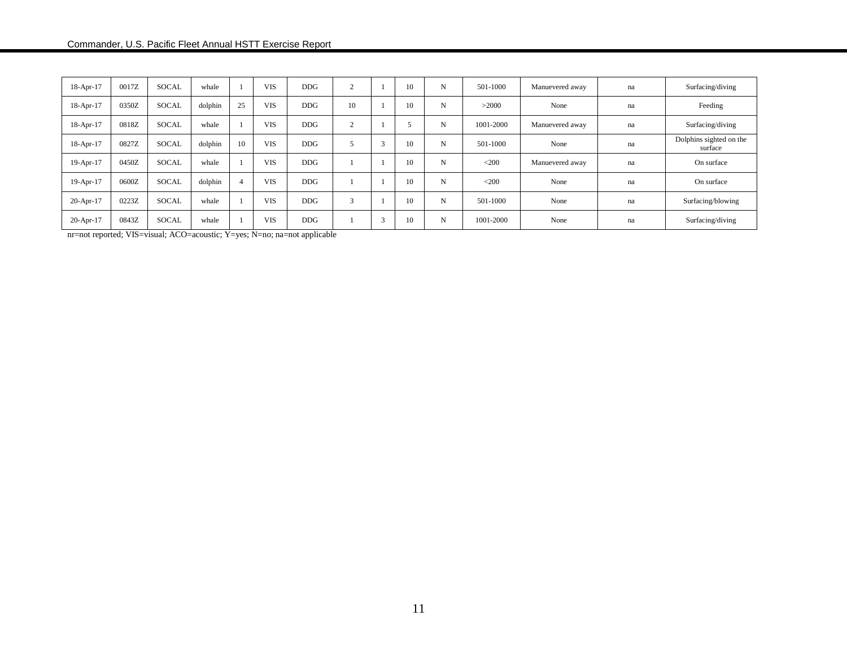| 18-Apr-17   | 0017Z | <b>SOCAL</b> | whale   |    | <b>VIS</b> | <b>DDG</b> | $\mathcal{L}$ |        | 10 | N | 501-1000  | Manuevered away | na | Surfacing/diving                   |
|-------------|-------|--------------|---------|----|------------|------------|---------------|--------|----|---|-----------|-----------------|----|------------------------------------|
| 18-Apr-17   | 0350Z | <b>SOCAL</b> | dolphin | 25 | <b>VIS</b> | <b>DDG</b> | 10            |        | 10 | N | >2000     | None            | na | Feeding                            |
| 18-Apr-17   | 0818Z | <b>SOCAL</b> | whale   |    | <b>VIS</b> | <b>DDG</b> | $\sim$        |        |    | N | 1001-2000 | Manuevered away | na | Surfacing/diving                   |
| $18-Apr-17$ | 0827Z | <b>SOCAL</b> | dolphin | 10 | <b>VIS</b> | <b>DDG</b> |               | $\sim$ | 10 | N | 501-1000  | None            | na | Dolphins sighted on the<br>surface |
| 19-Apr-17   | 0450Z | <b>SOCAL</b> | whale   |    | <b>VIS</b> | <b>DDG</b> |               |        | 10 | N | $<$ 200   | Manuevered away | na | On surface                         |
| 19-Apr-17   | 0600Z | <b>SOCAL</b> | dolphin |    | <b>VIS</b> | <b>DDG</b> |               |        | 10 | N | $<$ 200   | None            | na | On surface                         |
| 20-Apr-17   | 0223Z | <b>SOCAL</b> | whale   |    | <b>VIS</b> | <b>DDG</b> | 3             |        | 10 | N | 501-1000  | None            | na | Surfacing/blowing                  |
| 20-Apr-17   | 0843Z | <b>SOCAL</b> | whale   |    | <b>VIS</b> | <b>DDG</b> |               |        | 10 | N | 1001-2000 | None            | na | Surfacing/diving                   |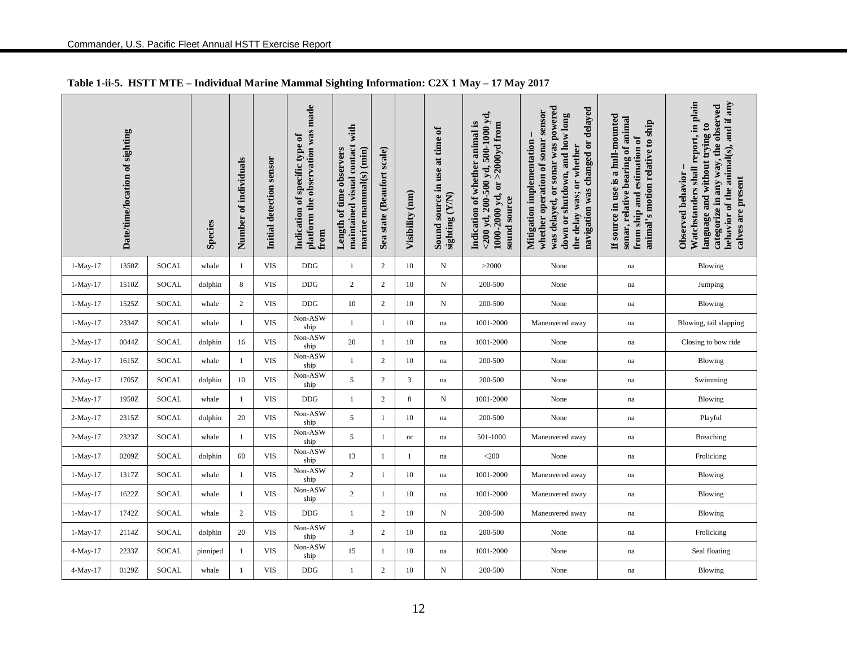|            | Date/time/location of sighting |              | <b>Species</b> | Number of individuals | Initial detection sensor | platform the observation was made<br>Indication of specific type of<br>from | with<br>maintained visual contact<br>marine mammal(s) (min)<br>Length of time observers | Sea state (Beaufort scale) | Visibility (nm) | Sound source in use at time of<br>sighting (Y/N) | <200 yd, 200-500 yd, 500-1000 yd,<br>Indication of whether animal is<br>1000-2000 yd, or >2000yd from<br>sound source | was delayed, or sonar was powered<br>navigation was changed or delayed<br>whether operation of sonar sensor<br>down or shutdown, and how long<br>Mitigation implementation<br>the delay was; or whether | If source in use is a hull-mounted<br>sonar, relative bearing of animal<br>animal's motion relative to ship<br>from ship and estimation of | Watchstanders shall report, in plain<br>behavior of the animal(s), and if any<br>categorize in any way, the observed<br>language and without trying to<br>Observed behavior<br>calves are present |
|------------|--------------------------------|--------------|----------------|-----------------------|--------------------------|-----------------------------------------------------------------------------|-----------------------------------------------------------------------------------------|----------------------------|-----------------|--------------------------------------------------|-----------------------------------------------------------------------------------------------------------------------|---------------------------------------------------------------------------------------------------------------------------------------------------------------------------------------------------------|--------------------------------------------------------------------------------------------------------------------------------------------|---------------------------------------------------------------------------------------------------------------------------------------------------------------------------------------------------|
| $1-May-17$ | 1350Z                          | <b>SOCAL</b> | whale          | 1                     | <b>VIS</b>               | <b>DDG</b>                                                                  | $\mathbf{1}$                                                                            | 2                          | 10              | N                                                | >2000                                                                                                                 | None                                                                                                                                                                                                    | na                                                                                                                                         | Blowing                                                                                                                                                                                           |
| $1-May-17$ | 1510Z                          | SOCAL        | dolphin        | 8                     | <b>VIS</b>               | DDG                                                                         | $\mathbf{2}$                                                                            | 2                          | 10              | N                                                | 200-500                                                                                                               | None                                                                                                                                                                                                    | na                                                                                                                                         | Jumping                                                                                                                                                                                           |
| $1-May-17$ | 1525Z                          | SOCAL        | whale          | $\overline{2}$        | <b>VIS</b>               | DDG                                                                         | 10                                                                                      | $\mathbf{2}$               | 10              | N                                                | 200-500                                                                                                               | None                                                                                                                                                                                                    | na                                                                                                                                         | Blowing                                                                                                                                                                                           |
| $1-May-17$ | 2334Z                          | SOCAL        | whale          | 1                     | <b>VIS</b>               | Non-ASW<br>ship                                                             | $\mathbf{1}$                                                                            | -1                         | 10              | na                                               | 1001-2000                                                                                                             | Maneuvered away                                                                                                                                                                                         | na                                                                                                                                         | Blowing, tail slapping                                                                                                                                                                            |
| $2-May-17$ | 0044Z                          | SOCAL        | dolphin        | 16                    | <b>VIS</b>               | Non-ASW<br>ship                                                             | 20                                                                                      | $\mathbf{1}$               | 10              | na                                               | 1001-2000                                                                                                             | None                                                                                                                                                                                                    | na                                                                                                                                         | Closing to bow ride                                                                                                                                                                               |
| $2-May-17$ | 1615Z                          | <b>SOCAL</b> | whale          | 1                     | <b>VIS</b>               | Non-ASW<br>ship                                                             | $\mathbf{1}$                                                                            | $\mathbf{2}$               | 10              | na                                               | 200-500                                                                                                               | None                                                                                                                                                                                                    | na                                                                                                                                         | Blowing                                                                                                                                                                                           |
| $2-May-17$ | 1705Z                          | SOCAL        | dolphin        | 10                    | <b>VIS</b>               | Non-ASW<br>ship                                                             | 5                                                                                       | $\overline{c}$             | 3               | na                                               | 200-500                                                                                                               | None                                                                                                                                                                                                    | na                                                                                                                                         | Swimming                                                                                                                                                                                          |
| $2-May-17$ | 1950Z                          | <b>SOCAL</b> | whale          | -1                    | <b>VIS</b>               | DDG                                                                         | 1                                                                                       | $\mathbf{2}$               | 8               | N                                                | 1001-2000                                                                                                             | None                                                                                                                                                                                                    | na                                                                                                                                         | Blowing                                                                                                                                                                                           |
| $2-May-17$ | 2315Z                          | <b>SOCAL</b> | dolphin        | 20                    | <b>VIS</b>               | Non-ASW<br>ship                                                             | 5                                                                                       | $\mathbf{1}$               | 10              | na                                               | 200-500                                                                                                               | None                                                                                                                                                                                                    | na                                                                                                                                         | Playful                                                                                                                                                                                           |
| 2-May-17   | 2323Z                          | <b>SOCAL</b> | whale          | 1                     | <b>VIS</b>               | Non-ASW<br>ship                                                             | 5                                                                                       | -1                         | nr              | na                                               | 501-1000                                                                                                              | Maneuvered away                                                                                                                                                                                         | na                                                                                                                                         | Breaching                                                                                                                                                                                         |
| $1-May-17$ | 0209Z                          | SOCAL        | dolphin        | 60                    | <b>VIS</b>               | Non-ASW<br>ship                                                             | 13                                                                                      | -1                         | 1               | na                                               | $<$ 200                                                                                                               | None                                                                                                                                                                                                    | na                                                                                                                                         | Frolicking                                                                                                                                                                                        |
| $1-May-17$ | 1317Z                          | SOCAL        | whale          | 1                     | <b>VIS</b>               | Non-ASW<br>ship                                                             | $\mathbf{2}$                                                                            | -1                         | 10              | na                                               | 1001-2000                                                                                                             | Maneuvered away                                                                                                                                                                                         | na                                                                                                                                         | Blowing                                                                                                                                                                                           |
| $1-May-17$ | 1622Z                          | SOCAL        | whale          | 1                     | <b>VIS</b>               | Non-ASW<br>ship                                                             | $\mathbf{2}$                                                                            | $\mathbf{1}$               | 10              | na                                               | 1001-2000                                                                                                             | Maneuvered away                                                                                                                                                                                         | na                                                                                                                                         | Blowing                                                                                                                                                                                           |
| $1-May-17$ | 1742Z                          | <b>SOCAL</b> | whale          | $\overline{c}$        | <b>VIS</b>               | $DDG$                                                                       | $\mathbf{1}$                                                                            | $\overline{2}$             | 10              | N                                                | 200-500                                                                                                               | Maneuvered away                                                                                                                                                                                         | na                                                                                                                                         | Blowing                                                                                                                                                                                           |
| $1-May-17$ | 2114Z                          | <b>SOCAL</b> | dolphin        | 20                    | <b>VIS</b>               | Non-ASW<br>ship                                                             | $\overline{3}$                                                                          | 2                          | 10              | na                                               | 200-500                                                                                                               | None                                                                                                                                                                                                    | na                                                                                                                                         | Frolicking                                                                                                                                                                                        |
| 4-May-17   | 2233Z                          | SOCAL        | pinniped       | 1                     | <b>VIS</b>               | Non-ASW<br>ship                                                             | 15                                                                                      | -1                         | 10              | na                                               | 1001-2000                                                                                                             | None                                                                                                                                                                                                    | na                                                                                                                                         | Seal floating                                                                                                                                                                                     |
| $4-May-17$ | 0129Z                          | <b>SOCAL</b> | whale          | $\mathbf{1}$          | <b>VIS</b>               | <b>DDG</b>                                                                  | $\mathbf{1}$                                                                            | 2                          | 10              | N                                                | 200-500                                                                                                               | None                                                                                                                                                                                                    | na                                                                                                                                         | <b>Blowing</b>                                                                                                                                                                                    |

## **Table 1-ii-5. HSTT MTE – Individual Marine Mammal Sighting Information: C2X 1 May – 17 May 2017**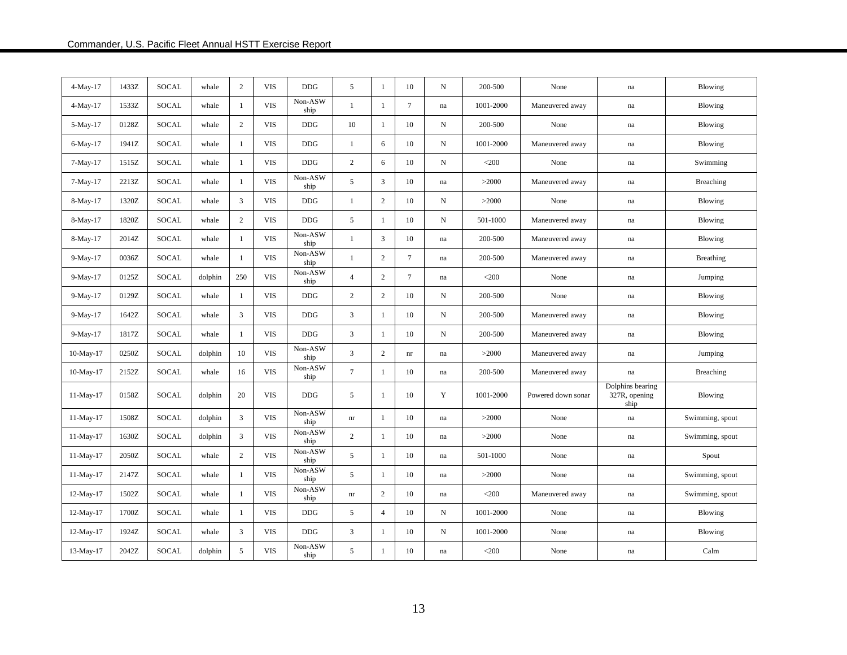| $4-May-17$  | 1433Z | <b>SOCAL</b> | whale   | 2              | <b>VIS</b> | <b>DDG</b>      | 5              | -1             | 10                         | N          | 200-500   | None               | na                                        | Blowing         |
|-------------|-------|--------------|---------|----------------|------------|-----------------|----------------|----------------|----------------------------|------------|-----------|--------------------|-------------------------------------------|-----------------|
| $4-May-17$  | 1533Z | SOCAL        | whale   | -1             | <b>VIS</b> | Non-ASW<br>ship | $\mathbf{1}$   | -1             | $7\phantom{.0}$            | na         | 1001-2000 | Maneuvered away    | na                                        | Blowing         |
| 5-May-17    | 0128Z | <b>SOCAL</b> | whale   | 2              | <b>VIS</b> | <b>DDG</b>      | 10             | $\mathbf{1}$   | 10                         | $_{\rm N}$ | 200-500   | None               | na                                        | Blowing         |
| 6-May-17    | 1941Z | SOCAL        | whale   | -1             | VIS        | <b>DDG</b>      | 1              | 6              | 10                         | N          | 1001-2000 | Maneuvered away    | na                                        | <b>Blowing</b>  |
| $7-May-17$  | 1515Z | <b>SOCAL</b> | whale   | $\mathbf{1}$   | <b>VIS</b> | <b>DDG</b>      | $\mathbf{2}$   | 6              | 10                         | N          | $<$ 200   | None               | na                                        | Swimming        |
| $7-May-17$  | 2213Z | <b>SOCAL</b> | whale   | $\mathbf{1}$   | <b>VIS</b> | Non-ASW<br>ship | 5              | 3              | 10                         | na         | >2000     | Maneuvered away    | na                                        | Breaching       |
| 8-May-17    | 1320Z | SOCAL        | whale   | 3              | <b>VIS</b> | <b>DDG</b>      | $\mathbf{1}$   | $\sqrt{2}$     | 10                         | N          | >2000     | None               | na                                        | Blowing         |
| 8-May-17    | 1820Z | SOCAL        | whale   | 2              | <b>VIS</b> | <b>DDG</b>      | 5              | 1              | 10                         | N          | 501-1000  | Maneuvered away    | na                                        | <b>Blowing</b>  |
| 8-May-17    | 2014Z | <b>SOCAL</b> | whale   | $\mathbf{1}$   | <b>VIS</b> | Non-ASW<br>ship | $\mathbf{1}$   | 3              | 10                         | na         | 200-500   | Maneuvered away    | na                                        | Blowing         |
| 9-May-17    | 0036Z | SOCAL        | whale   | $\mathbf{1}$   | <b>VIS</b> | Non-ASW<br>ship | $\mathbf{1}$   | $\mathbf{2}$   | $7\phantom{.0}$            | na         | 200-500   | Maneuvered away    | na                                        | Breathing       |
| 9-May-17    | 0125Z | SOCAL        | dolphin | 250            | <b>VIS</b> | Non-ASW<br>ship | $\overline{4}$ | $\mathbf{2}$   | $7\phantom{.0}$            | na         | $<$ 200   | None               | na                                        | Jumping         |
| 9-May-17    | 0129Z | SOCAL        | whale   | -1             | <b>VIS</b> | <b>DDG</b>      | $\mathbf{2}$   | $\mathbf{2}$   | 10                         | N          | 200-500   | None               | na                                        | Blowing         |
| 9-May-17    | 1642Z | SOCAL        | whale   | 3              | <b>VIS</b> | $DDG$           | 3              | $\mathbf{1}$   | 10                         | $_{\rm N}$ | 200-500   | Maneuvered away    | $\operatorname{na}$                       | Blowing         |
| 9-May-17    | 1817Z | SOCAL        | whale   | -1             | <b>VIS</b> | <b>DDG</b>      | 3              | -1             | 10                         | N          | 200-500   | Maneuvered away    | na                                        | Blowing         |
| 10-May-17   | 0250Z | <b>SOCAL</b> | dolphin | 10             | <b>VIS</b> | Non-ASW<br>ship | $\overline{3}$ | $\overline{2}$ | $\mathop{\rm nr}\nolimits$ | na         | >2000     | Maneuvered away    | na                                        | Jumping         |
| 10-May-17   | 2152Z | <b>SOCAL</b> | whale   | 16             | <b>VIS</b> | Non-ASW<br>ship | $\overline{7}$ | -1             | 10                         | na         | 200-500   | Maneuvered away    | na                                        | Breaching       |
| 11-May-17   | 0158Z | <b>SOCAL</b> | dolphin | 20             | <b>VIS</b> | <b>DDG</b>      | 5              | 1              | 10                         | Y          | 1001-2000 | Powered down sonar | Dolphins bearing<br>327R, opening<br>ship | Blowing         |
| 11-May-17   | 1508Z | <b>SOCAL</b> | dolphin | 3              | <b>VIS</b> | Non-ASW<br>ship | nr             | -1             | 10                         | na         | >2000     | None               | na                                        | Swimming, spout |
| 11-May-17   | 1630Z | <b>SOCAL</b> | dolphin | 3              | <b>VIS</b> | Non-ASW<br>ship | $\overline{c}$ | $\mathbf{1}$   | 10                         | na         | >2000     | None               | na                                        | Swimming, spout |
| 11-May-17   | 2050Z | SOCAL        | whale   | 2              | <b>VIS</b> | Non-ASW<br>ship | 5              | 1              | 10                         | na         | 501-1000  | None               | na                                        | Spout           |
| $11-May-17$ | 2147Z | <b>SOCAL</b> | whale   | $\overline{1}$ | <b>VIS</b> | Non-ASW<br>ship | 5              | 1              | 10                         | na         | >2000     | None               | na                                        | Swimming, spout |
| 12-May-17   | 1502Z | <b>SOCAL</b> | whale   | $\mathbf{1}$   | <b>VIS</b> | Non-ASW<br>ship | nr             | 2              | 10                         | na         | $<$ 200   | Maneuvered away    | na                                        | Swimming, spout |
| 12-May-17   | 1700Z | <b>SOCAL</b> | whale   | -1             | <b>VIS</b> | <b>DDG</b>      | 5              | $\overline{4}$ | 10                         | N          | 1001-2000 | None               | na                                        | Blowing         |
| 12-May-17   | 1924Z | SOCAL        | whale   | 3              | <b>VIS</b> | <b>DDG</b>      | 3              | -1             | $10\,$                     | $_{\rm N}$ | 1001-2000 | None               | na                                        | Blowing         |
| 13-May-17   | 2042Z | <b>SOCAL</b> | dolphin | 5              | <b>VIS</b> | Non-ASW<br>ship | 5              | -1             | 10                         | na         | $<$ 200   | None               | na                                        | Calm            |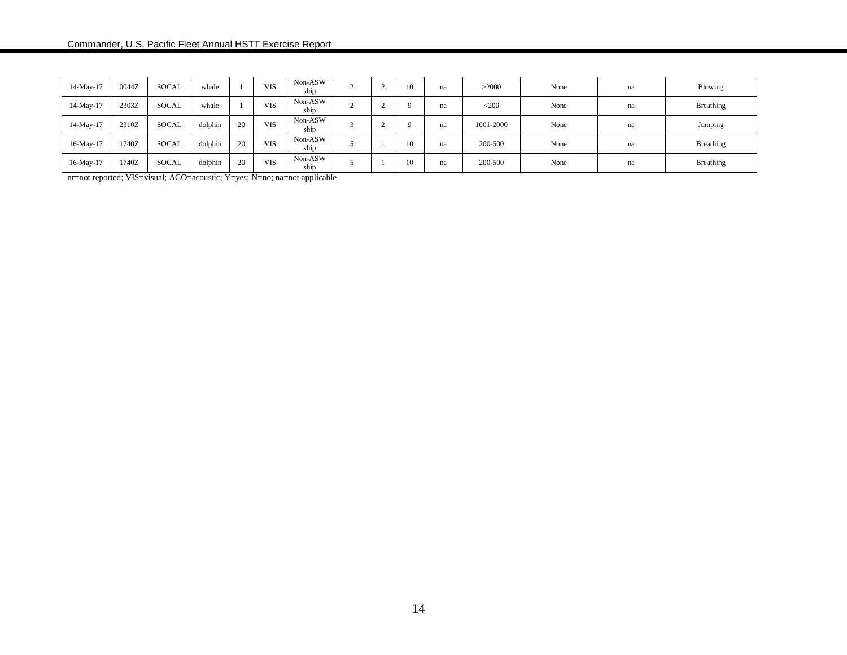| 14-May-17    | 0044Z | <b>SOCAL</b> | whale   |    | <b>VIS</b> | Non-ASW<br>ship |  | 10       | na | >2000     | None | na | Blowing   |
|--------------|-------|--------------|---------|----|------------|-----------------|--|----------|----|-----------|------|----|-----------|
| $14$ -May-17 | 2303Z | <b>SOCAL</b> | whale   |    | <b>VIS</b> | Non-ASW<br>ship |  | $\Omega$ | na | $<$ 200   | None | na | Breathing |
| 14-May-17    | 2310Z | <b>SOCAL</b> | dolphin | 20 | <b>VIS</b> | Non-ASW<br>ship |  | $\Omega$ | na | 1001-2000 | None | na | Jumping   |
| 16-May-17    | 1740Z | <b>SOCAL</b> | dolphin | 20 | <b>VIS</b> | Non-ASW<br>ship |  | 10       | na | 200-500   | None | na | Breathing |
| 16-May-17    | 1740Z | <b>SOCAL</b> | dolphin | 20 | VIS        | Non-ASW<br>ship |  | 10       | na | 200-500   | None | na | Breathing |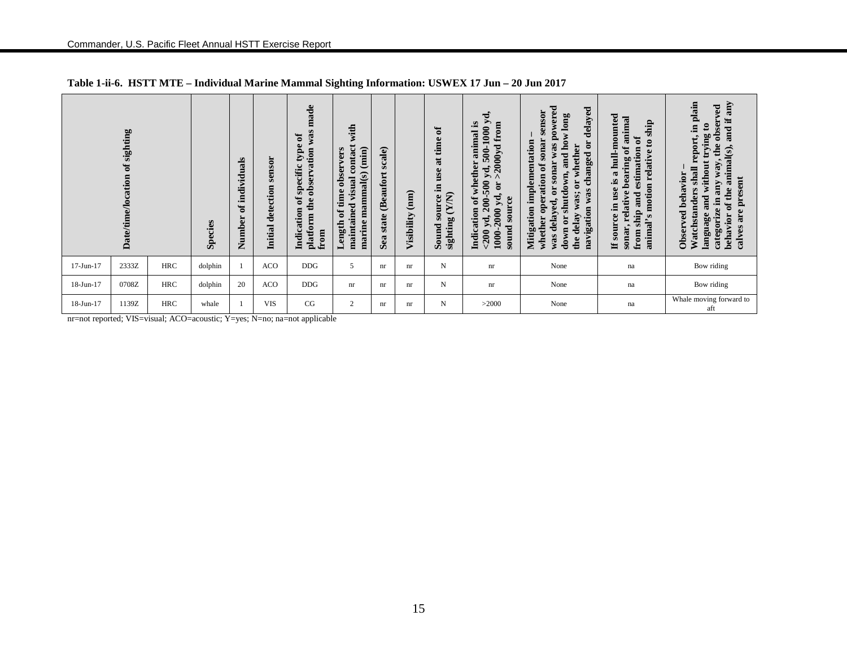|           | of sighting<br><b>Date/time/location</b>                                                                                        |            | Species | als<br>individu<br>đ<br>Number | sensor<br>Initial detection | made<br>was:<br>$\mathfrak{b}$<br>type<br>observation<br>specific<br>ð<br>the<br>Indication<br>platform<br>from | with<br>contact<br>marine mammal(s) (min)<br>observers<br>visual<br>time<br>maintained<br>ð<br>$L$ ength | scale)<br><b>(Beaufort</b><br>state<br>Sea | (mm)<br>Visibility | ัธ<br>at time<br>use<br>Ξ.<br>(X/N)<br>source<br>sighting<br>Sound | ರ,<br>500-1000 $y$<br>animal is<br>$>$ 2000yd from<br>of whether<br>yd,<br>200-500<br>$\overline{\mathbf{d}}$<br>yd,<br>source<br>$200$ yd, 20<br>1000-2000<br>Indication<br>sound | sonar was powered<br>delayed<br>sensor<br>long<br>how<br>whether operation of sonar<br>Mitigation implementation<br>ö<br>or whether<br>changed<br>and<br>itdown,<br>$\overline{c}$<br>navigation was<br>delay was;<br>was delayed,<br>shu<br>$\mathfrak{g}$<br>down<br>the | hull-mounted<br>animal<br>ship<br>$\mathbf{a}$<br>$\mathbf{e}$<br>bearing of<br>estimation<br>relative<br>use is a<br>motion<br>sonar, relative<br>ship and<br>Ξ.<br>source<br>$\Omega$<br>animal'<br>from<br>H | in plain<br>any<br>observed<br>H.<br>$\boldsymbol{\mathsf{s}}$<br>and<br>without trying<br>report,<br>the<br>animal(s),<br>any way,<br>shall<br>Observed behavior<br>are present<br>of the<br>Watchstanders<br>and<br>categorize in<br>language<br>behavior<br>calves |
|-----------|---------------------------------------------------------------------------------------------------------------------------------|------------|---------|--------------------------------|-----------------------------|-----------------------------------------------------------------------------------------------------------------|----------------------------------------------------------------------------------------------------------|--------------------------------------------|--------------------|--------------------------------------------------------------------|------------------------------------------------------------------------------------------------------------------------------------------------------------------------------------|----------------------------------------------------------------------------------------------------------------------------------------------------------------------------------------------------------------------------------------------------------------------------|-----------------------------------------------------------------------------------------------------------------------------------------------------------------------------------------------------------------|-----------------------------------------------------------------------------------------------------------------------------------------------------------------------------------------------------------------------------------------------------------------------|
| 17-Jun-17 | 2333Z                                                                                                                           | <b>HRC</b> | dolphin |                                | <b>ACO</b>                  | <b>DDG</b>                                                                                                      | 5                                                                                                        | nr                                         | nr                 | N                                                                  | nr                                                                                                                                                                                 | None                                                                                                                                                                                                                                                                       | na                                                                                                                                                                                                              | Bow riding                                                                                                                                                                                                                                                            |
| 18-Jun-17 | 0708Z                                                                                                                           | <b>HRC</b> | dolphin | 20                             | <b>ACO</b>                  | <b>DDG</b>                                                                                                      | nr                                                                                                       | nr                                         | nr                 | N                                                                  | nr                                                                                                                                                                                 | None                                                                                                                                                                                                                                                                       | na                                                                                                                                                                                                              | Bow riding                                                                                                                                                                                                                                                            |
| 18-Jun-17 | Whale moving forward to<br>CG<br>1139Z<br><b>HRC</b><br><b>VIS</b><br>>2000<br>whale<br>2<br>N<br>None<br>na<br>nr<br>nr<br>aft |            |         |                                |                             |                                                                                                                 |                                                                                                          |                                            |                    |                                                                    |                                                                                                                                                                                    |                                                                                                                                                                                                                                                                            |                                                                                                                                                                                                                 |                                                                                                                                                                                                                                                                       |
|           |                                                                                                                                 |            |         |                                |                             | nr=not reported; VIS=visual; ACO=acoustic; Y=yes; N=no; na=not applicable                                       |                                                                                                          |                                            |                    |                                                                    |                                                                                                                                                                                    |                                                                                                                                                                                                                                                                            |                                                                                                                                                                                                                 |                                                                                                                                                                                                                                                                       |

**Table 1-ii-6. HSTT MTE – Individual Marine Mammal Sighting Information: USWEX 17 Jun – 20 Jun 2017**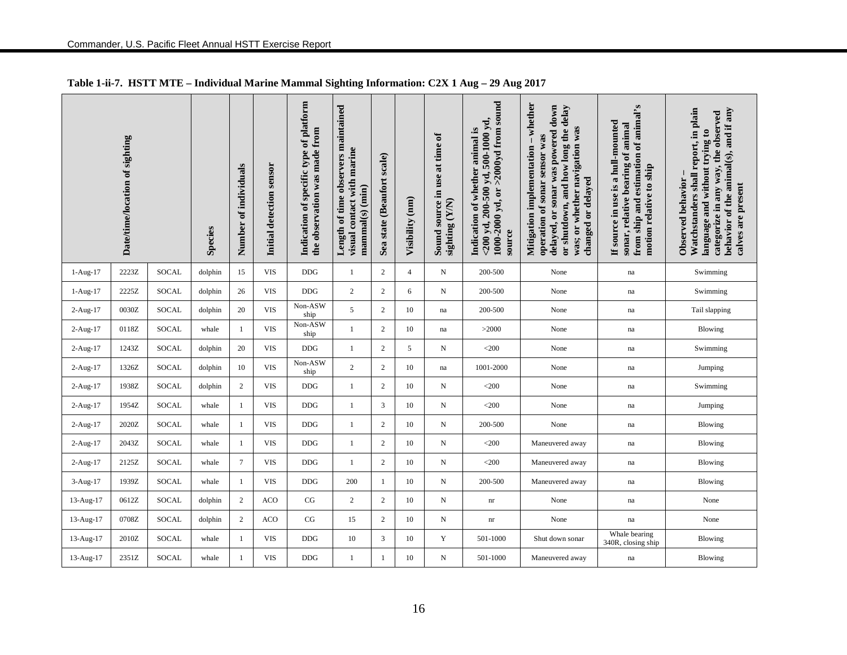|            | Date/time/location of sighting |              | <b>Species</b> | Number of individuals | Initial detection sensor | Indication of specific type of platform<br>the observation was made from | Length of time observers maintained<br>visual contact with marine<br>$mammal(s)$ $(min)$ | Sea state (Beaufort scale) | Visibility (nm) | Sound source in use at time of<br>sighting (Y/N) | $1000-2000$ yd, or $>2000$ yd from sound<br>$<$ 200 yd, 200-500 yd, 500-1000 yd,<br>Indication of whether animal is<br>source | $-$ whether<br>delayed, or sonar was powered down<br>or shutdown, and how long the delay<br>was; or whether navigation was<br>operation of sonar sensor was<br>Mitigation implementation<br>changed or delayed | from ship and estimation of animal's<br>If source in use is a hull-mounted<br>sonar, relative bearing of animal<br>motion relative to ship | Watchstanders shall report, in plain<br>behavior of the animal(s), and if any<br>categorize in any way, the observed<br>language and without trying to<br>Observed behavior<br>calves are present |
|------------|--------------------------------|--------------|----------------|-----------------------|--------------------------|--------------------------------------------------------------------------|------------------------------------------------------------------------------------------|----------------------------|-----------------|--------------------------------------------------|-------------------------------------------------------------------------------------------------------------------------------|----------------------------------------------------------------------------------------------------------------------------------------------------------------------------------------------------------------|--------------------------------------------------------------------------------------------------------------------------------------------|---------------------------------------------------------------------------------------------------------------------------------------------------------------------------------------------------|
| $1-Aug-17$ | 2223Z                          | SOCAL        | dolphin        | 15                    | <b>VIS</b>               | DDG                                                                      | $\mathbf{1}$                                                                             | $\sqrt{2}$                 | $\overline{4}$  | $_{\rm N}$                                       | 200-500                                                                                                                       | None                                                                                                                                                                                                           | na                                                                                                                                         | Swimming                                                                                                                                                                                          |
| $1-Aug-17$ | 2225Z                          | <b>SOCAL</b> | dolphin        | 26                    | <b>VIS</b>               | <b>DDG</b>                                                               | 2                                                                                        | $\mathfrak{2}$             | 6               | N                                                | 200-500                                                                                                                       | None                                                                                                                                                                                                           | na                                                                                                                                         | Swimming                                                                                                                                                                                          |
| 2-Aug-17   | 0030Z                          | <b>SOCAL</b> | dolphin        | 20                    | <b>VIS</b>               | Non-ASW<br>ship                                                          | 5                                                                                        | $\sqrt{2}$                 | 10              | na                                               | 200-500                                                                                                                       | None                                                                                                                                                                                                           | na                                                                                                                                         | Tail slapping                                                                                                                                                                                     |
| $2-Aug-17$ | 0118Z                          | <b>SOCAL</b> | whale          | $\mathbf{1}$          | <b>VIS</b>               | Non-ASW<br>ship                                                          | 1                                                                                        | $\sqrt{2}$                 | 10              | na                                               | >2000                                                                                                                         | None                                                                                                                                                                                                           | na                                                                                                                                         | <b>Blowing</b>                                                                                                                                                                                    |
| 2-Aug-17   | 1243Z                          | <b>SOCAL</b> | dolphin        | 20                    | <b>VIS</b>               | DDG                                                                      | 1                                                                                        | $\sqrt{2}$                 | 5               | N                                                | $<$ 200                                                                                                                       | None                                                                                                                                                                                                           | na                                                                                                                                         | Swimming                                                                                                                                                                                          |
| 2-Aug-17   | 1326Z                          | <b>SOCAL</b> | dolphin        | 10                    | <b>VIS</b>               | Non-ASW<br>ship                                                          | $\overline{c}$                                                                           | $\sqrt{2}$                 | 10              | na                                               | 1001-2000                                                                                                                     | None                                                                                                                                                                                                           | na                                                                                                                                         | Jumping                                                                                                                                                                                           |
| 2-Aug-17   | 1938Z                          | <b>SOCAL</b> | dolphin        | $\sqrt{2}$            | <b>VIS</b>               | <b>DDG</b>                                                               | $\mathbf{1}$                                                                             | $\sqrt{2}$                 | 10              | N                                                | $<$ 200                                                                                                                       | None                                                                                                                                                                                                           | na                                                                                                                                         | Swimming                                                                                                                                                                                          |
| 2-Aug-17   | 1954Z                          | <b>SOCAL</b> | whale          | $\mathbf{1}$          | <b>VIS</b>               | DDG                                                                      | $\mathbf{1}$                                                                             | 3                          | 10              | $\mathbf N$                                      | $<$ 200                                                                                                                       | None                                                                                                                                                                                                           | na                                                                                                                                         | Jumping                                                                                                                                                                                           |
| $2-Aug-17$ | 2020Z                          | <b>SOCAL</b> | whale          | $\mathbf{1}$          | <b>VIS</b>               | DDG                                                                      | $\mathbf{1}$                                                                             | $\sqrt{2}$                 | 10              | N                                                | 200-500                                                                                                                       | None                                                                                                                                                                                                           | na                                                                                                                                         | Blowing                                                                                                                                                                                           |
| 2-Aug-17   | 2043Z                          | <b>SOCAL</b> | whale          | $\mathbf{1}$          | <b>VIS</b>               | <b>DDG</b>                                                               | $\mathbf{1}$                                                                             | $\sqrt{2}$                 | 10              | N                                                | $<$ 200                                                                                                                       | Maneuvered away                                                                                                                                                                                                | na                                                                                                                                         | Blowing                                                                                                                                                                                           |
| $2-Aug-17$ | 2125Z                          | <b>SOCAL</b> | whale          | $\tau$                | <b>VIS</b>               | <b>DDG</b>                                                               | $\mathbf{1}$                                                                             | $\sqrt{2}$                 | 10              | N                                                | $<$ 200                                                                                                                       | Maneuvered away                                                                                                                                                                                                | na                                                                                                                                         | <b>Blowing</b>                                                                                                                                                                                    |
| 3-Aug-17   | 1939Z                          | <b>SOCAL</b> | whale          | $\mathbf{1}$          | <b>VIS</b>               | <b>DDG</b>                                                               | 200                                                                                      | $\mathbf{1}$               | 10              | $\mathbf N$                                      | 200-500                                                                                                                       | Maneuvered away                                                                                                                                                                                                | na                                                                                                                                         | Blowing                                                                                                                                                                                           |
| 13-Aug-17  | 0612Z                          | <b>SOCAL</b> | dolphin        | $\mathbf{2}$          | <b>ACO</b>               | CG                                                                       | $\sqrt{2}$                                                                               | $\sqrt{2}$                 | 10              | $\mathbf N$                                      | $\mathop{\rm nr}\nolimits$                                                                                                    | None                                                                                                                                                                                                           | na                                                                                                                                         | None                                                                                                                                                                                              |
| 13-Aug-17  | 0708Z                          | SOCAL        | dolphin        | $\sqrt{2}$            | <b>ACO</b>               | CG                                                                       | 15                                                                                       | $\sqrt{2}$                 | 10              | N                                                | $\mathop{\rm nr}\nolimits$                                                                                                    | None                                                                                                                                                                                                           | $\operatorname{na}$                                                                                                                        | None                                                                                                                                                                                              |
| 13-Aug-17  | 2010Z                          | <b>SOCAL</b> | whale          | $\mathbf{1}$          | <b>VIS</b>               | <b>DDG</b>                                                               | 10                                                                                       | $\mathfrak{Z}$             | 10              | $\mathbf Y$                                      | 501-1000                                                                                                                      | Shut down sonar                                                                                                                                                                                                | Whale bearing<br>340R, closing ship                                                                                                        | <b>Blowing</b>                                                                                                                                                                                    |
| 13-Aug-17  | 2351Z                          | <b>SOCAL</b> | whale          |                       | <b>VIS</b>               | <b>DDG</b>                                                               | 1                                                                                        | -1                         | 10              | N                                                | 501-1000                                                                                                                      | Maneuvered away                                                                                                                                                                                                | na                                                                                                                                         | Blowing                                                                                                                                                                                           |

## **Table 1-ii-7. HSTT MTE – Individual Marine Mammal Sighting Information: C2X 1 Aug – 29 Aug 2017**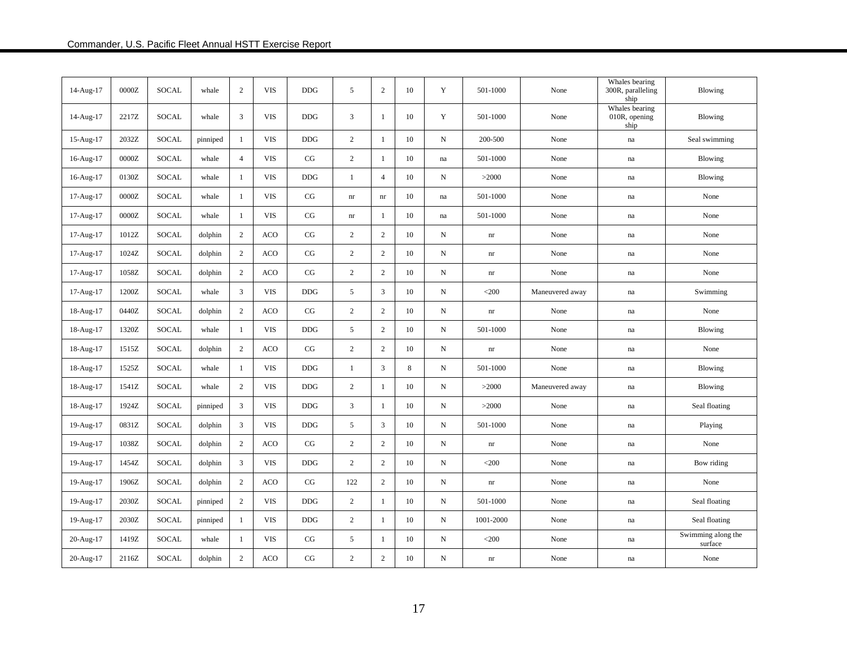| 14-Aug-17 | 0000Z   | SOCAL        | whale    | $\overline{2}$ | <b>VIS</b> | <b>DDG</b> | 5                          | 2              | 10 | Y                   | 501-1000                   | None            | Whales bearing<br>300R, paralleling<br>ship | <b>Blowing</b>                |
|-----------|---------|--------------|----------|----------------|------------|------------|----------------------------|----------------|----|---------------------|----------------------------|-----------------|---------------------------------------------|-------------------------------|
| 14-Aug-17 | 2217Z   | SOCAL        | whale    | 3              | <b>VIS</b> | <b>DDG</b> | 3                          | -1             | 10 | Y                   | 501-1000                   | None            | Whales bearing<br>010R, opening<br>ship     | Blowing                       |
| 15-Aug-17 | 2032Z   | SOCAL        | pinniped | -1             | <b>VIS</b> | <b>DDG</b> | $\overline{c}$             | -1             | 10 | N                   | 200-500                    | None            | $\operatorname{na}$                         | Seal swimming                 |
| 16-Aug-17 | 0000Z   | SOCAL        | whale    | $\overline{4}$ | <b>VIS</b> | CG         | $\overline{2}$             | -1             | 10 | $\operatorname{na}$ | 501-1000                   | None            | na                                          | Blowing                       |
| 16-Aug-17 | 0130Z   | <b>SOCAL</b> | whale    | -1             | <b>VIS</b> | <b>DDG</b> | $\mathbf{1}$               | $\overline{4}$ | 10 | N                   | >2000                      | None            | na                                          | Blowing                       |
| 17-Aug-17 | $0000Z$ | <b>SOCAL</b> | whale    | 1              | <b>VIS</b> | CG         | nr                         | nr             | 10 | na                  | 501-1000                   | None            | $\operatorname{na}$                         | None                          |
| 17-Aug-17 | $0000Z$ | SOCAL        | whale    | 1              | <b>VIS</b> | CG         | $\mathop{\rm nr}\nolimits$ | $\mathbf{1}$   | 10 | na                  | 501-1000                   | None            | na                                          | None                          |
| 17-Aug-17 | 1012Z   | SOCAL        | dolphin  | 2              | <b>ACO</b> | CG         | $\overline{c}$             | $\overline{2}$ | 10 | N                   | $\mathop{\rm nr}\nolimits$ | None            | $\operatorname{na}$                         | None                          |
| 17-Aug-17 | 1024Z   | SOCAL        | dolphin  | $\overline{c}$ | <b>ACO</b> | CG         | $\overline{c}$             | $\overline{c}$ | 10 | N                   | $\mathop{\rm nr}\nolimits$ | None            | na                                          | None                          |
| 17-Aug-17 | 1058Z   | <b>SOCAL</b> | dolphin  | 2              | <b>ACO</b> | CG         | $\overline{c}$             | $\sqrt{2}$     | 10 | N                   | $\mathop{\rm nr}\nolimits$ | None            | $\operatorname{na}$                         | None                          |
| 17-Aug-17 | 1200Z   | <b>SOCAL</b> | whale    | 3              | <b>VIS</b> | <b>DDG</b> | 5                          | $\mathfrak{Z}$ | 10 | $_{\rm N}$          | $<$ 200                    | Maneuvered away | na                                          | Swimming                      |
| 18-Aug-17 | 0440Z   | SOCAL        | dolphin  | 2              | <b>ACO</b> | CG         | $\overline{c}$             | $\overline{c}$ | 10 | N                   | $\mathop{\rm nr}\nolimits$ | None            | na                                          | None                          |
| 18-Aug-17 | 1320Z   | SOCAL        | whale    | 1              | <b>VIS</b> | <b>DDG</b> | 5                          | $\sqrt{2}$     | 10 | N                   | 501-1000                   | None            | $\operatorname{na}$                         | Blowing                       |
| 18-Aug-17 | 1515Z   | SOCAL        | dolphin  | $\overline{2}$ | <b>ACO</b> | CG         | $\overline{c}$             | $\sqrt{2}$     | 10 | N                   | $\mathop{\rm nr}\nolimits$ | None            | na                                          | None                          |
| 18-Aug-17 | 1525Z   | SOCAL        | whale    | 1              | <b>VIS</b> | DDG        | $\mathbf{1}$               | 3              | 8  | $\, {\bf N}$        | 501-1000                   | None            | $\operatorname{na}$                         | Blowing                       |
| 18-Aug-17 | 1541Z   | SOCAL        | whale    | $\sqrt{2}$     | <b>VIS</b> | <b>DDG</b> | $\overline{c}$             | 1              | 10 | N                   | >2000                      | Maneuvered away | na                                          | Blowing                       |
| 18-Aug-17 | 1924Z   | SOCAL        | pinniped | 3              | <b>VIS</b> | <b>DDG</b> | 3                          | 1              | 10 | N                   | >2000                      | None            | na                                          | Seal floating                 |
| 19-Aug-17 | 0831Z   | <b>SOCAL</b> | dolphin  | 3              | <b>VIS</b> | <b>DDG</b> | 5                          | 3              | 10 | N                   | 501-1000                   | None            | $\operatorname{na}$                         | Playing                       |
| 19-Aug-17 | 1038Z   | SOCAL        | dolphin  | $\overline{2}$ | <b>ACO</b> | CG         | $\overline{c}$             | 2              | 10 | N                   | $\mathop{\rm nr}\nolimits$ | None            | $\operatorname{na}$                         | None                          |
| 19-Aug-17 | 1454Z   | SOCAL        | dolphin  | 3              | <b>VIS</b> | <b>DDG</b> | $\overline{c}$             | 2              | 10 | $\mathbf N$         | $<$ 200                    | None            | na                                          | Bow riding                    |
| 19-Aug-17 | 1906Z   | <b>SOCAL</b> | dolphin  | 2              | <b>ACO</b> | CG         | 122                        | $\overline{2}$ | 10 | N                   | $\mathop{\rm nr}\nolimits$ | None            | na                                          | None                          |
| 19-Aug-17 | 2030Z   | SOCAL        | pinniped | 2              | <b>VIS</b> | <b>DDG</b> | $\overline{c}$             | 1              | 10 | N                   | 501-1000                   | None            | na                                          | Seal floating                 |
| 19-Aug-17 | 2030Z   | <b>SOCAL</b> | pinniped | $\mathbf{1}$   | <b>VIS</b> | <b>DDG</b> | $\overline{c}$             | 1              | 10 | N                   | 1001-2000                  | None            | $\operatorname{na}$                         | Seal floating                 |
| 20-Aug-17 | 1419Z   | SOCAL        | whale    | -1             | <b>VIS</b> | CG         | 5                          | -1             | 10 | N                   | $<$ 200                    | None            | $\operatorname{na}$                         | Swimming along the<br>surface |
| 20-Aug-17 | 2116Z   | SOCAL        | dolphin  | 2              | <b>ACO</b> | CG         | $\overline{c}$             | $\overline{c}$ | 10 | N                   | nr                         | None            | na                                          | None                          |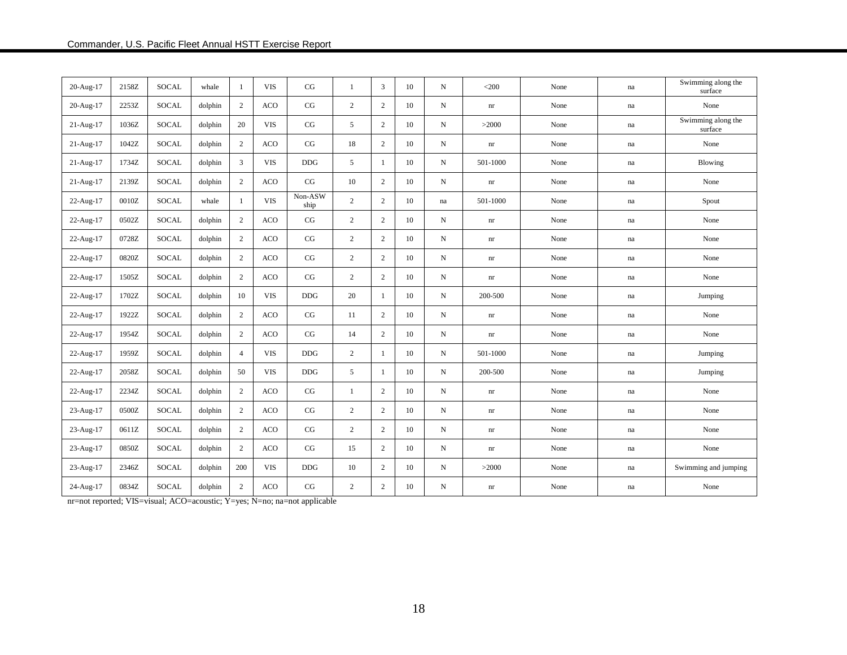| 20-Aug-17   | 2158Z | <b>SOCAL</b> | whale   | 1              | <b>VIS</b> | CG              | $\mathbf{1}$   | 3              | 10 | $_{\rm N}$ | $<$ 200                    | None | na                  | Swimming along the<br>surface |
|-------------|-------|--------------|---------|----------------|------------|-----------------|----------------|----------------|----|------------|----------------------------|------|---------------------|-------------------------------|
| 20-Aug-17   | 2253Z | SOCAL        | dolphin | 2              | <b>ACO</b> | CG              | $\overline{2}$ | 2              | 10 | N          | nr                         | None | $\operatorname{na}$ | None                          |
| $21-Aug-17$ | 1036Z | <b>SOCAL</b> | dolphin | 20             | <b>VIS</b> | CG              | 5              | 2              | 10 | N          | >2000                      | None | na                  | Swimming along the<br>surface |
| 21-Aug-17   | 1042Z | <b>SOCAL</b> | dolphin | $\overline{c}$ | <b>ACO</b> | CG              | 18             | 2              | 10 | N          | nr                         | None | na                  | None                          |
| 21-Aug-17   | 1734Z | SOCAL        | dolphin | 3              | <b>VIS</b> | <b>DDG</b>      | 5              | 1              | 10 | N          | 501-1000                   | None | na                  | Blowing                       |
| 21-Aug-17   | 2139Z | <b>SOCAL</b> | dolphin | $\overline{c}$ | <b>ACO</b> | CG              | 10             | $\mathbf{2}$   | 10 | N          | $\mathop{\rm nr}\nolimits$ | None | na                  | None                          |
| 22-Aug-17   | 0010Z | <b>SOCAL</b> | whale   | -1             | <b>VIS</b> | Non-ASW<br>ship | 2              | 2              | 10 | na         | 501-1000                   | None | na                  | Spout                         |
| 22-Aug-17   | 0502Z | <b>SOCAL</b> | dolphin | $\overline{c}$ | <b>ACO</b> | CG              | $\overline{2}$ | $\sqrt{2}$     | 10 | N          | nr                         | None | na                  | None                          |
| 22-Aug-17   | 0728Z | SOCAL        | dolphin | $\overline{c}$ | <b>ACO</b> | CG              | $\overline{2}$ | 2              | 10 | $_{\rm N}$ | nr                         | None | na                  | None                          |
| 22-Aug-17   | 0820Z | <b>SOCAL</b> | dolphin | $\overline{c}$ | <b>ACO</b> | CG              | $\overline{2}$ | $\mathbf{2}$   | 10 | $_{\rm N}$ | nr                         | None | na                  | None                          |
| 22-Aug-17   | 1505Z | <b>SOCAL</b> | dolphin | $\overline{2}$ | <b>ACO</b> | CG              | $\overline{2}$ | $\mathbf{2}$   | 10 | N          | nr                         | None | na                  | None                          |
| 22-Aug-17   | 1702Z | <b>SOCAL</b> | dolphin | 10             | <b>VIS</b> | <b>DDG</b>      | 20             | -1             | 10 | N          | 200-500                    | None | na                  | Jumping                       |
| 22-Aug-17   | 1922Z | <b>SOCAL</b> | dolphin | 2              | <b>ACO</b> | CG              | 11             | $\mathbf{2}$   | 10 | N          | nr                         | None | na                  | None                          |
| 22-Aug-17   | 1954Z | <b>SOCAL</b> | dolphin | 2              | <b>ACO</b> | CG              | 14             | 2              | 10 | N          | nr                         | None | na                  | None                          |
| 22-Aug-17   | 1959Z | <b>SOCAL</b> | dolphin | $\overline{4}$ | <b>VIS</b> | <b>DDG</b>      | 2              | -1             | 10 | N          | 501-1000                   | None | na                  | Jumping                       |
| 22-Aug-17   | 2058Z | <b>SOCAL</b> | dolphin | 50             | <b>VIS</b> | <b>DDG</b>      | 5              | $\mathbf{1}$   | 10 | $_{\rm N}$ | 200-500                    | None | $\operatorname{na}$ | Jumping                       |
| 22-Aug-17   | 2234Z | <b>SOCAL</b> | dolphin | $\overline{c}$ | <b>ACO</b> | CG              | 1              | $\mathbf{2}$   | 10 | N          | nr                         | None | na                  | None                          |
| 23-Aug-17   | 0500Z | <b>SOCAL</b> | dolphin | $\overline{2}$ | <b>ACO</b> | CG              | $\overline{2}$ | $\mathbf{2}$   | 10 | N          | nr                         | None | $\operatorname{na}$ | None                          |
| 23-Aug-17   | 0611Z | <b>SOCAL</b> | dolphin | 2              | <b>ACO</b> | CG              | $\overline{2}$ | 2              | 10 | N          | nr                         | None | na                  | None                          |
| 23-Aug-17   | 0850Z | <b>SOCAL</b> | dolphin | $\overline{c}$ | <b>ACO</b> | $\rm CG$        | 15             | $\mathbf{2}$   | 10 | N          | nr                         | None | $\operatorname{na}$ | None                          |
| 23-Aug-17   | 2346Z | <b>SOCAL</b> | dolphin | 200            | <b>VIS</b> | <b>DDG</b>      | 10             | $\mathbf{2}$   | 10 | $_{\rm N}$ | >2000                      | None | na                  | Swimming and jumping          |
| 24-Aug-17   | 0834Z | <b>SOCAL</b> | dolphin | $\sqrt{2}$     | <b>ACO</b> | CG              | $\mathbf{2}$   | $\overline{c}$ | 10 | N          | nr                         | None | $\operatorname{na}$ | None                          |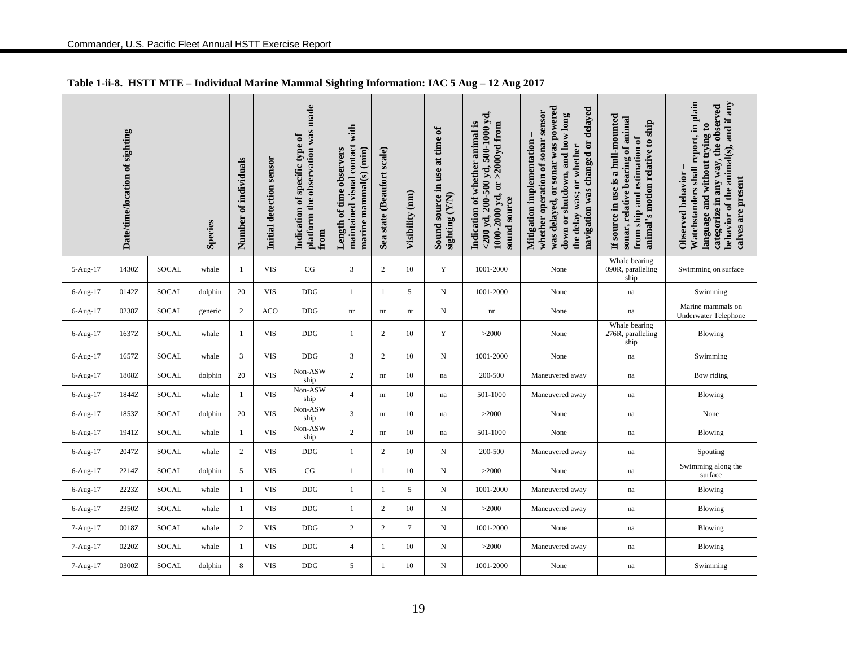|          | Date/time/location of sighting |              | <b>Species</b> | Number of individuals | Initial detection sensor | platform the observation was made<br>Indication of specific type of<br>from | with<br>maintained visual contact<br>marine mammal(s) (min)<br>Length of time observers | Sea state (Beaufort scale) | Visibility (nm) | Sound source in use at time of<br>sighting (Y/N) | $<$ 200 yd, 200-500 yd, 500-1000 yd,<br>Indication of whether animal is<br>$>2000yd$ from<br>1000-2000 yd, or<br>sound source | was delayed, or sonar was powered<br>navigation was changed or delayed<br>whether operation of sonar sensor<br>down or shutdown, and how long<br>Mitigation implementation<br>the delay was; or whether | If source in use is a hull-mounted<br>sonar, relative bearing of animal<br>animal's motion relative to ship<br>from ship and estimation of | Watchstanders shall report, in plain<br>behavior of the animal(s), and if any<br>categorize in any way, the observed<br>language and without trying to<br>Observed behavior<br>calves are present |
|----------|--------------------------------|--------------|----------------|-----------------------|--------------------------|-----------------------------------------------------------------------------|-----------------------------------------------------------------------------------------|----------------------------|-----------------|--------------------------------------------------|-------------------------------------------------------------------------------------------------------------------------------|---------------------------------------------------------------------------------------------------------------------------------------------------------------------------------------------------------|--------------------------------------------------------------------------------------------------------------------------------------------|---------------------------------------------------------------------------------------------------------------------------------------------------------------------------------------------------|
| 5-Aug-17 | 1430Z                          | SOCAL        | whale          | 1                     | <b>VIS</b>               | CG                                                                          | 3                                                                                       | 2                          | 10              | Y                                                | 1001-2000                                                                                                                     | None                                                                                                                                                                                                    | Whale bearing<br>090R, paralleling<br>ship                                                                                                 | Swimming on surface                                                                                                                                                                               |
| 6-Aug-17 | 0142Z                          | SOCAL        | dolphin        | 20                    | <b>VIS</b>               | DDG                                                                         | $\mathbf{1}$                                                                            | 1                          | 5               | $_{\rm N}$                                       | 1001-2000                                                                                                                     | None                                                                                                                                                                                                    | $\operatorname{na}$                                                                                                                        | Swimming                                                                                                                                                                                          |
| 6-Aug-17 | 0238Z                          | SOCAL        | generic        | $\overline{c}$        | <b>ACO</b>               | <b>DDG</b>                                                                  | nr                                                                                      | nr                         | nr              | N                                                | $\mathop{\rm nr}\nolimits$                                                                                                    | None                                                                                                                                                                                                    | $\operatorname{na}$                                                                                                                        | Marine mammals on<br><b>Underwater Telephone</b>                                                                                                                                                  |
| 6-Aug-17 | 1637Z                          | <b>SOCAL</b> | whale          | $\mathbf{1}$          | <b>VIS</b>               | DDG                                                                         | $\mathbf{1}$                                                                            | $\overline{2}$             | 10              | Y                                                | >2000                                                                                                                         | None                                                                                                                                                                                                    | Whale bearing<br>276R, paralleling<br>ship                                                                                                 | Blowing                                                                                                                                                                                           |
| 6-Aug-17 | 1657Z                          | SOCAL        | whale          | 3                     | <b>VIS</b>               | DDG                                                                         | 3                                                                                       | $\overline{2}$             | 10              | N                                                | 1001-2000                                                                                                                     | None                                                                                                                                                                                                    | $\operatorname{na}$                                                                                                                        | Swimming                                                                                                                                                                                          |
| 6-Aug-17 | 1808Z                          | SOCAL        | dolphin        | 20                    | <b>VIS</b>               | Non-ASW<br>ship                                                             | $\sqrt{2}$                                                                              | nr                         | 10              | na                                               | 200-500                                                                                                                       | Maneuvered away                                                                                                                                                                                         | $\operatorname{na}$                                                                                                                        | Bow riding                                                                                                                                                                                        |
| 6-Aug-17 | 1844Z                          | SOCAL        | whale          | $\mathbf{1}$          | <b>VIS</b>               | Non-ASW<br>ship                                                             | $\overline{4}$                                                                          | nr                         | 10              | na                                               | 501-1000                                                                                                                      | Maneuvered away                                                                                                                                                                                         | na                                                                                                                                         | Blowing                                                                                                                                                                                           |
| 6-Aug-17 | 1853Z                          | SOCAL        | dolphin        | 20                    | <b>VIS</b>               | Non-ASW<br>ship                                                             | 3                                                                                       | nr                         | 10              | na                                               | >2000                                                                                                                         | None                                                                                                                                                                                                    | $\operatorname{na}$                                                                                                                        | None                                                                                                                                                                                              |
| 6-Aug-17 | 1941Z                          | SOCAL        | whale          | $\mathbf{1}$          | <b>VIS</b>               | Non-ASW<br>ship                                                             | $\mathbf{2}$                                                                            | nr                         | 10              | na                                               | 501-1000                                                                                                                      | None                                                                                                                                                                                                    | $\operatorname{na}$                                                                                                                        | Blowing                                                                                                                                                                                           |
| 6-Aug-17 | 2047Z                          | <b>SOCAL</b> | whale          | 2                     | <b>VIS</b>               | <b>DDG</b>                                                                  | $\mathbf{1}$                                                                            | 2                          | 10              | $\mathbf N$                                      | 200-500                                                                                                                       | Maneuvered away                                                                                                                                                                                         | na                                                                                                                                         | Spouting                                                                                                                                                                                          |
| 6-Aug-17 | 2214Z                          | SOCAL        | dolphin        | 5                     | <b>VIS</b>               | $_{\rm CG}$                                                                 | 1                                                                                       | 1                          | 10              | N                                                | >2000                                                                                                                         | None                                                                                                                                                                                                    | $\operatorname{na}$                                                                                                                        | Swimming along the<br>surface                                                                                                                                                                     |
| 6-Aug-17 | 2223Z                          | SOCAL        | whale          | 1                     | <b>VIS</b>               | <b>DDG</b>                                                                  | $\mathbf{1}$                                                                            | $\mathbf{1}$               | 5               | N                                                | 1001-2000                                                                                                                     | Maneuvered away                                                                                                                                                                                         | na                                                                                                                                         | Blowing                                                                                                                                                                                           |
| 6-Aug-17 | 2350Z                          | SOCAL        | whale          | 1                     | <b>VIS</b>               | <b>DDG</b>                                                                  | 1                                                                                       | $\overline{2}$             | 10              | N                                                | >2000                                                                                                                         | Maneuvered away                                                                                                                                                                                         | $\operatorname{na}$                                                                                                                        | <b>Blowing</b>                                                                                                                                                                                    |
| 7-Aug-17 | 0018Z                          | <b>SOCAL</b> | whale          | $\overline{c}$        | <b>VIS</b>               | <b>DDG</b>                                                                  | $\sqrt{2}$                                                                              | $\sqrt{2}$                 | $\tau$          | N                                                | 1001-2000                                                                                                                     | None                                                                                                                                                                                                    | $\operatorname{na}$                                                                                                                        | Blowing                                                                                                                                                                                           |
| 7-Aug-17 | 0220Z                          | SOCAL        | whale          | $\mathbf{1}$          | <b>VIS</b>               | <b>DDG</b>                                                                  | $\overline{4}$                                                                          | $\mathbf{1}$               | 10              | N                                                | >2000                                                                                                                         | Maneuvered away                                                                                                                                                                                         | na                                                                                                                                         | <b>Blowing</b>                                                                                                                                                                                    |
| 7-Aug-17 | 0300Z                          | SOCAL        | dolphin        | 8                     | <b>VIS</b>               | <b>DDG</b>                                                                  | 5                                                                                       | 1                          | 10              | N                                                | 1001-2000                                                                                                                     | None                                                                                                                                                                                                    | $\operatorname{na}$                                                                                                                        | Swimming                                                                                                                                                                                          |

## **Table 1-ii-8. HSTT MTE – Individual Marine Mammal Sighting Information: IAC 5 Aug – 12 Aug 2017**

Commander, U.S. Pacific Fleet Annual HSTT Exercise Report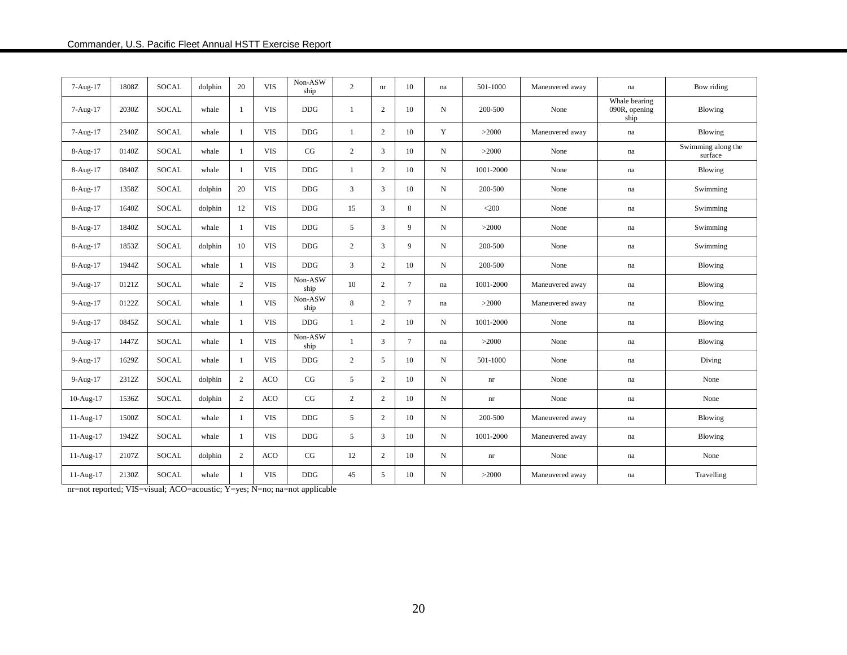| 7-Aug-17    | 1808Z | <b>SOCAL</b> | dolphin | 20             | <b>VIS</b> | Non-ASW<br>ship | $\overline{2}$ | nr             | 10     | na         | 501-1000                   | Maneuvered away | na                                     | Bow riding                    |
|-------------|-------|--------------|---------|----------------|------------|-----------------|----------------|----------------|--------|------------|----------------------------|-----------------|----------------------------------------|-------------------------------|
| 7-Aug-17    | 2030Z | <b>SOCAL</b> | whale   | -1             | <b>VIS</b> | <b>DDG</b>      | 1              | 2              | 10     | N          | 200-500                    | None            | Whale bearing<br>090R, opening<br>ship | Blowing                       |
| 7-Aug-17    | 2340Z | <b>SOCAL</b> | whale   | -1             | <b>VIS</b> | <b>DDG</b>      | 1              | 2              | 10     | Y          | >2000                      | Maneuvered away | $\!$ na                                | Blowing                       |
| 8-Aug-17    | 0140Z | <b>SOCAL</b> | whale   | -1             | <b>VIS</b> | CG              | $\overline{2}$ | 3              | 10     | N          | >2000                      | None            | na                                     | Swimming along the<br>surface |
| 8-Aug-17    | 0840Z | <b>SOCAL</b> | whale   | -1             | <b>VIS</b> | <b>DDG</b>      | 1              | 2              | 10     | N          | 1001-2000                  | None            | na                                     | Blowing                       |
| 8-Aug-17    | 1358Z | <b>SOCAL</b> | dolphin | 20             | <b>VIS</b> | $DDG$           | $\mathbf{3}$   | $\mathbf{3}$   | 10     | N          | 200-500                    | None            | na                                     | Swimming                      |
| 8-Aug-17    | 1640Z | <b>SOCAL</b> | dolphin | 12             | <b>VIS</b> | <b>DDG</b>      | 15             | 3              | 8      | N          | $<$ 200                    | None            | na                                     | Swimming                      |
| 8-Aug-17    | 1840Z | <b>SOCAL</b> | whale   | -1             | <b>VIS</b> | $DDG$           | 5              | 3              | 9      | N          | >2000                      | None            | na                                     | Swimming                      |
| 8-Aug-17    | 1853Z | <b>SOCAL</b> | dolphin | 10             | <b>VIS</b> | <b>DDG</b>      | $\overline{c}$ | $\mathbf{3}$   | 9      | N          | 200-500                    | None            | na                                     | Swimming                      |
| 8-Aug-17    | 1944Z | <b>SOCAL</b> | whale   | -1             | <b>VIS</b> | <b>DDG</b>      | 3              | 2              | 10     | N          | 200-500                    | None            | na                                     | Blowing                       |
| 9-Aug-17    | 0121Z | <b>SOCAL</b> | whale   | 2              | <b>VIS</b> | Non-ASW<br>ship | 10             | 2              | $\tau$ | na         | 1001-2000                  | Maneuvered away | na                                     | Blowing                       |
| 9-Aug-17    | 0122Z | <b>SOCAL</b> | whale   | $\overline{1}$ | <b>VIS</b> | Non-ASW<br>ship | 8              | 2              | $\tau$ | na         | >2000                      | Maneuvered away | na                                     | Blowing                       |
| 9-Aug-17    | 0845Z | <b>SOCAL</b> | whale   | -1             | <b>VIS</b> | $DDG$           | 1              | 2              | 10     | N          | 1001-2000                  | None            | na                                     | Blowing                       |
| 9-Aug-17    | 1447Z | <b>SOCAL</b> | whale   | $\overline{1}$ | <b>VIS</b> | Non-ASW<br>ship | -1             | 3              | $\tau$ | na         | >2000                      | None            | na                                     | Blowing                       |
| 9-Aug-17    | 1629Z | <b>SOCAL</b> | whale   | -1             | <b>VIS</b> | <b>DDG</b>      | $\overline{2}$ | 5              | 10     | $_{\rm N}$ | 501-1000                   | None            | na                                     | Diving                        |
| 9-Aug-17    | 2312Z | <b>SOCAL</b> | dolphin | 2              | ACO        | CG              | 5              | $\overline{2}$ | 10     | N          | $\mathop{\rm nr}\nolimits$ | None            | na                                     | None                          |
| 10-Aug-17   | 1536Z | <b>SOCAL</b> | dolphin | 2              | ACO        | CG              | $\overline{2}$ | 2              | 10     | $_{\rm N}$ | nr                         | None            | na                                     | None                          |
| 11-Aug-17   | 1500Z | <b>SOCAL</b> | whale   | $\overline{1}$ | <b>VIS</b> | <b>DDG</b>      | 5              | 2              | 10     | $_{\rm N}$ | 200-500                    | Maneuvered away | na                                     | <b>Blowing</b>                |
| 11-Aug-17   | 1942Z | <b>SOCAL</b> | whale   | -1             | <b>VIS</b> | <b>DDG</b>      | 5              | 3              | 10     | N          | 1001-2000                  | Maneuvered away | na                                     | Blowing                       |
| $11-Aug-17$ | 2107Z | <b>SOCAL</b> | dolphin | 2              | ACO        | CG              | 12             | 2              | 10     | N          | $\mathop{\rm nr}\nolimits$ | None            | na                                     | None                          |
| 11-Aug-17   | 2130Z | <b>SOCAL</b> | whale   | -1             | <b>VIS</b> | $DDG$           | 45             | 5              | 10     | N          | >2000                      | Maneuvered away | na                                     | Travelling                    |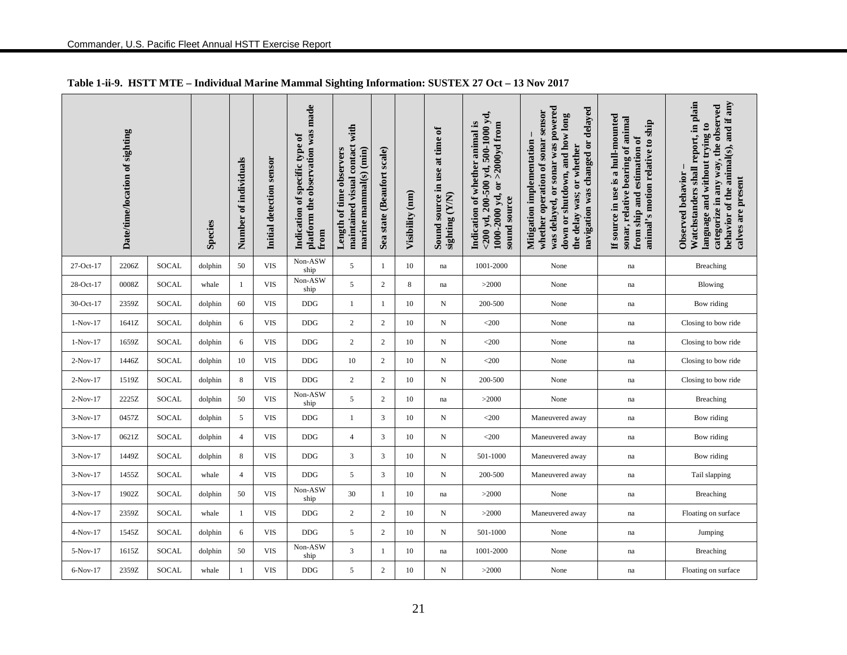|            | Date/time/location of sighting |              | Species | Number of individuals | Initial detection sensor | platform the observation was made<br>Indication of specific type of<br>from | with<br>maintained visual contact<br>marine mammal(s) (min)<br>Length of time observers | Sea state (Beaufort scale) | Visibility (nm) | Sound source in use at time of<br>sighting (Y/N) | $<$ 200 yd, 200-500 yd, 500-1000 yd,<br>Indication of whether animal is<br>1000-2000 yd, or >2000yd from<br>sound source | was delayed, or sonar was powered<br>navigation was changed or delayed<br>whether operation of sonar sensor<br>down or shutdown, and how long<br>Mitigation implementation<br>the delay was; or whether | If source in use is a hull-mounted<br>sonar, relative bearing of animal<br>animal's motion relative to ship<br>from ship and estimation of | Watchstanders shall report, in plain<br>behavior of the animal(s), and if any<br>categorize in any way, the observed<br>language and without trying to<br>Observed behavior<br>calves are present |
|------------|--------------------------------|--------------|---------|-----------------------|--------------------------|-----------------------------------------------------------------------------|-----------------------------------------------------------------------------------------|----------------------------|-----------------|--------------------------------------------------|--------------------------------------------------------------------------------------------------------------------------|---------------------------------------------------------------------------------------------------------------------------------------------------------------------------------------------------------|--------------------------------------------------------------------------------------------------------------------------------------------|---------------------------------------------------------------------------------------------------------------------------------------------------------------------------------------------------|
| 27-Oct-17  | 2206Z                          | SOCAL        | dolphin | 50                    | <b>VIS</b>               | Non-ASW<br>ship                                                             | 5                                                                                       | $\mathbf{1}$               | 10              | $\operatorname{na}$                              | 1001-2000                                                                                                                | None                                                                                                                                                                                                    | $\operatorname{na}$                                                                                                                        | <b>Breaching</b>                                                                                                                                                                                  |
| 28-Oct-17  | 0008Z                          | <b>SOCAL</b> | whale   | 1                     | <b>VIS</b>               | Non-ASW<br>ship                                                             | 5                                                                                       | 2                          | 8               | na                                               | >2000                                                                                                                    | None                                                                                                                                                                                                    | na                                                                                                                                         | <b>Blowing</b>                                                                                                                                                                                    |
| 30-Oct-17  | 2359Z                          | SOCAL        | dolphin | 60                    | <b>VIS</b>               | <b>DDG</b>                                                                  | $\mathbf{1}$                                                                            | -1                         | 10              | N                                                | 200-500                                                                                                                  | None                                                                                                                                                                                                    | na                                                                                                                                         | Bow riding                                                                                                                                                                                        |
| $1-Nov-17$ | 1641Z                          | <b>SOCAL</b> | dolphin | 6                     | <b>VIS</b>               | <b>DDG</b>                                                                  | $\overline{c}$                                                                          | 2                          | 10              | N                                                | $<$ 200                                                                                                                  | None                                                                                                                                                                                                    | $\operatorname{na}$                                                                                                                        | Closing to bow ride                                                                                                                                                                               |
| $1-Nov-17$ | 1659Z                          | SOCAL        | dolphin | 6                     | <b>VIS</b>               | <b>DDG</b>                                                                  | $\mathbf{2}$                                                                            | $\overline{c}$             | 10              | N                                                | $<$ 200                                                                                                                  | None                                                                                                                                                                                                    | $\operatorname{na}$                                                                                                                        | Closing to bow ride                                                                                                                                                                               |
| $2-Nov-17$ | 1446Z                          | <b>SOCAL</b> | dolphin | 10                    | <b>VIS</b>               | <b>DDG</b>                                                                  | 10                                                                                      | $\overline{c}$             | 10              | N                                                | $<$ 200                                                                                                                  | None                                                                                                                                                                                                    | na                                                                                                                                         | Closing to bow ride                                                                                                                                                                               |
| $2-Nov-17$ | 1519Z                          | SOCAL        | dolphin | 8                     | <b>VIS</b>               | <b>DDG</b>                                                                  | 2                                                                                       | 2                          | 10              | N                                                | 200-500                                                                                                                  | None                                                                                                                                                                                                    | $\operatorname{na}$                                                                                                                        | Closing to bow ride                                                                                                                                                                               |
| $2-Nov-17$ | 2225Z                          | SOCAL        | dolphin | 50                    | <b>VIS</b>               | Non-ASW<br>ship                                                             | 5                                                                                       | $\overline{2}$             | 10              | $\operatorname{na}$                              | >2000                                                                                                                    | None                                                                                                                                                                                                    | $\operatorname{na}$                                                                                                                        | Breaching                                                                                                                                                                                         |
| $3-Nov-17$ | 0457Z                          | SOCAL        | dolphin | 5                     | <b>VIS</b>               | <b>DDG</b>                                                                  | 1                                                                                       | 3                          | 10              | N                                                | $<$ 200                                                                                                                  | Maneuvered away                                                                                                                                                                                         | na                                                                                                                                         | Bow riding                                                                                                                                                                                        |
| $3-Nov-17$ | 0621Z                          | SOCAL        | dolphin | $\overline{4}$        | <b>VIS</b>               | <b>DDG</b>                                                                  | $\overline{4}$                                                                          | 3                          | 10              | N                                                | $<$ 200                                                                                                                  | Maneuvered away                                                                                                                                                                                         | na                                                                                                                                         | Bow riding                                                                                                                                                                                        |
| $3-Nov-17$ | 1449Z                          | <b>SOCAL</b> | dolphin | 8                     | <b>VIS</b>               | <b>DDG</b>                                                                  | 3                                                                                       | 3                          | 10              | N                                                | 501-1000                                                                                                                 | Maneuvered away                                                                                                                                                                                         | na                                                                                                                                         | Bow riding                                                                                                                                                                                        |
| 3-Nov-17   | 1455Z                          | SOCAL        | whale   | $\overline{4}$        | <b>VIS</b>               | <b>DDG</b>                                                                  | 5                                                                                       | 3                          | 10              | N                                                | 200-500                                                                                                                  | Maneuvered away                                                                                                                                                                                         | na                                                                                                                                         | Tail slapping                                                                                                                                                                                     |
| $3-Nov-17$ | 1902Z                          | SOCAL        | dolphin | 50                    | <b>VIS</b>               | Non-ASW<br>ship                                                             | 30                                                                                      | -1                         | 10              | na                                               | >2000                                                                                                                    | None                                                                                                                                                                                                    | $\operatorname{na}$                                                                                                                        | <b>Breaching</b>                                                                                                                                                                                  |
| 4-Nov-17   | 2359Z                          | <b>SOCAL</b> | whale   | $\mathbf{1}$          | <b>VIS</b>               | <b>DDG</b>                                                                  | $\overline{2}$                                                                          | $\overline{c}$             | 10              | N                                                | >2000                                                                                                                    | Maneuvered away                                                                                                                                                                                         | $\operatorname{na}$                                                                                                                        | Floating on surface                                                                                                                                                                               |
| $4-Nov-17$ | 1545Z                          | <b>SOCAL</b> | dolphin | 6                     | <b>VIS</b>               | DDG                                                                         | 5                                                                                       | 2                          | 10              | N                                                | 501-1000                                                                                                                 | None                                                                                                                                                                                                    | $\operatorname{na}$                                                                                                                        | Jumping                                                                                                                                                                                           |
| 5-Nov-17   | 1615Z                          | SOCAL        | dolphin | 50                    | <b>VIS</b>               | Non-ASW<br>ship                                                             | 3                                                                                       | $\overline{1}$             | 10              | na                                               | 1001-2000                                                                                                                | None                                                                                                                                                                                                    | $\operatorname{na}$                                                                                                                        | <b>Breaching</b>                                                                                                                                                                                  |
| 6-Nov-17   | 2359Z                          | <b>SOCAL</b> | whale   | $\mathbf{1}$          | <b>VIS</b>               | DDG                                                                         | 5                                                                                       | 2                          | 10              | N                                                | >2000                                                                                                                    | None                                                                                                                                                                                                    | na                                                                                                                                         | Floating on surface                                                                                                                                                                               |

## **Table 1-ii-9. HSTT MTE – Individual Marine Mammal Sighting Information: SUSTEX 27 Oct – 13 Nov 2017**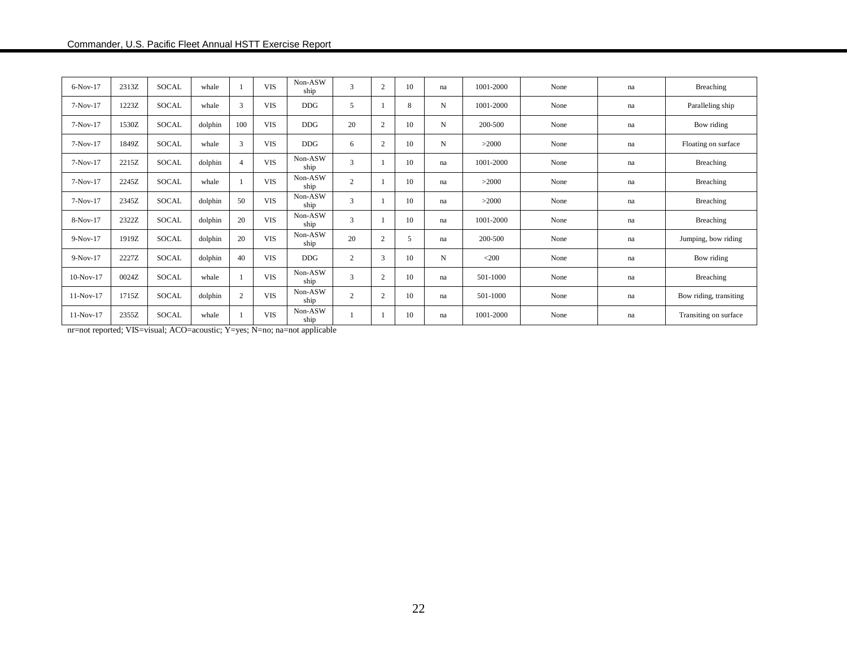| 6-Nov-17    | 2313Z | SOCAL        | whale   |                | <b>VIS</b> | Non-ASW<br>ship | 3              | $\overline{2}$ | 10 | na | 1001-2000 | None | na | Breaching              |
|-------------|-------|--------------|---------|----------------|------------|-----------------|----------------|----------------|----|----|-----------|------|----|------------------------|
| $7-Nov-17$  | 1223Z | SOCAL        | whale   | 3              | <b>VIS</b> | <b>DDG</b>      | 5              |                | 8  | N  | 1001-2000 | None | na | Paralleling ship       |
| $7-Nov-17$  | 1530Z | SOCAL        | dolphin | 100            | <b>VIS</b> | <b>DDG</b>      | 20             | $\overline{2}$ | 10 | N  | 200-500   | None | na | Bow riding             |
| $7-Nov-17$  | 1849Z | SOCAL        | whale   | 3              | <b>VIS</b> | <b>DDG</b>      | 6              | 2              | 10 | N  | >2000     | None | na | Floating on surface    |
| $7-Nov-17$  | 2215Z | <b>SOCAL</b> | dolphin | $\overline{4}$ | <b>VIS</b> | Non-ASW<br>ship | 3              |                | 10 | na | 1001-2000 | None | na | Breaching              |
| $7-Nov-17$  | 2245Z | SOCAL        | whale   |                | <b>VIS</b> | Non-ASW<br>ship | $\mathbf{2}$   |                | 10 | na | >2000     | None | na | Breaching              |
| $7-Nov-17$  | 2345Z | SOCAL        | dolphin | 50             | <b>VIS</b> | Non-ASW<br>ship | 3              |                | 10 | na | >2000     | None | na | Breaching              |
| 8-Nov-17    | 2322Z | <b>SOCAL</b> | dolphin | 20             | <b>VIS</b> | Non-ASW<br>ship | 3              |                | 10 | na | 1001-2000 | None | na | <b>Breaching</b>       |
| $9-Nov-17$  | 1919Z | <b>SOCAL</b> | dolphin | 20             | <b>VIS</b> | Non-ASW<br>ship | 20             | 2              | 5  | na | 200-500   | None | na | Jumping, bow riding    |
| $9-Nov-17$  | 2227Z | SOCAL        | dolphin | 40             | <b>VIS</b> | <b>DDG</b>      | 2              | 3              | 10 | N  | $<$ 200   | None | na | Bow riding             |
| $10-Nov-17$ | 0024Z | <b>SOCAL</b> | whale   |                | <b>VIS</b> | Non-ASW<br>ship | 3              | $\overline{2}$ | 10 | na | 501-1000  | None | na | Breaching              |
| 11-Nov-17   | 1715Z | SOCAL        | dolphin | $\overline{2}$ | <b>VIS</b> | Non-ASW<br>ship | $\overline{c}$ | 2              | 10 | na | 501-1000  | None | na | Bow riding, transiting |
| $11-Nov-17$ | 2355Z | <b>SOCAL</b> | whale   |                | <b>VIS</b> | Non-ASW<br>ship |                |                | 10 | na | 1001-2000 | None | na | Transiting on surface  |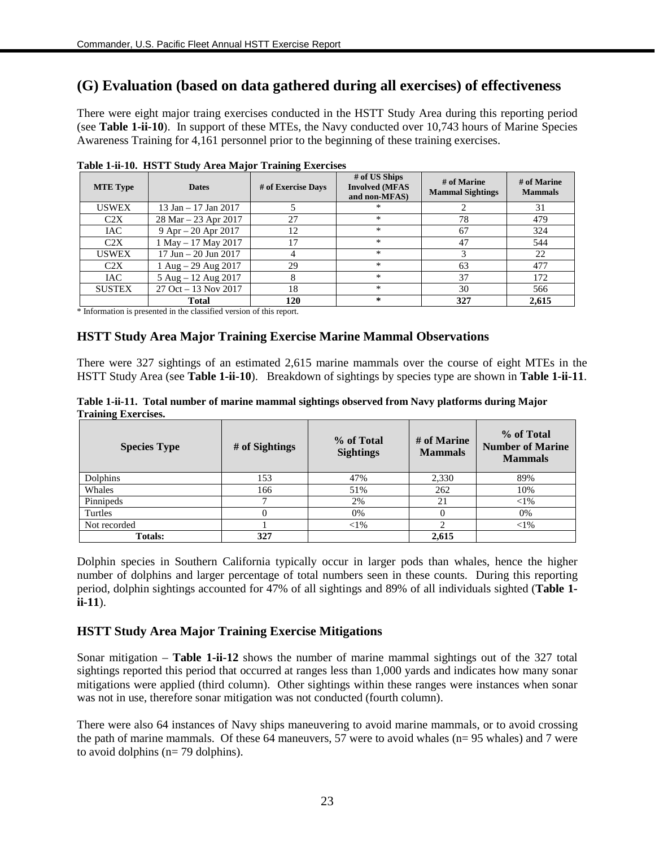## **(G) Evaluation (based on data gathered during all exercises) of effectiveness**

There were eight major traing exercises conducted in the HSTT Study Area during this reporting period (see **Table 1-ii-10**). In support of these MTEs, the Navy conducted over 10,743 hours of Marine Species Awareness Training for 4,161 personnel prior to the beginning of these training exercises.

| <b>MTE Type</b> | ีข−<br><b>Dates</b>     | -<br># of Exercise Days | # of US Ships<br><b>Involved (MFAS</b><br>and non-MFAS) | # of Marine<br><b>Mammal Sightings</b> | # of Marine<br><b>Mammals</b> |
|-----------------|-------------------------|-------------------------|---------------------------------------------------------|----------------------------------------|-------------------------------|
| <b>USWEX</b>    | 13 Jan - 17 Jan 2017    |                         | ∗                                                       |                                        | 31                            |
| C2X             | 28 Mar – 23 Apr 2017    | 27                      | $\ast$                                                  | 78                                     | 479                           |
| IAC.            | $9$ Apr $- 20$ Apr 2017 | 12                      | *                                                       | 67                                     | 324                           |
| C2X             | 1 May - 17 May 2017     | 17                      | $\ast$                                                  | 47                                     | 544                           |
| <b>USWEX</b>    | 17 Jun – 20 Jun 2017    | 4                       | $\ast$                                                  | 3                                      | 22                            |
| C2X             | 1 Aug $-$ 29 Aug 2017   | 29                      | $\ast$                                                  | 63                                     | 477                           |
| <b>IAC</b>      | 5 Aug - 12 Aug 2017     | 8                       | $\ast$                                                  | 37                                     | 172                           |
| <b>SUSTEX</b>   | 27 Oct - 13 Nov 2017    | 18                      | $\ast$                                                  | 30                                     | 566                           |
|                 | <b>Total</b>            | 120                     | ∗                                                       | 327                                    | 2,615                         |

**Table 1-ii-10. HSTT Study Area Major Training Exercises**

\* Information is presented in the classified version of this report.

## **HSTT Study Area Major Training Exercise Marine Mammal Observations**

There were 327 sightings of an estimated 2,615 marine mammals over the course of eight MTEs in the HSTT Study Area (see **Table 1-ii-10**). Breakdown of sightings by species type are shown in **Table 1-ii-11**.

|                            | Table 1-ii-11. Total number of marine mammal sightings observed from Navy platforms during Major |  |  |
|----------------------------|--------------------------------------------------------------------------------------------------|--|--|
| <b>Training Exercises.</b> |                                                                                                  |  |  |

| <b>Species Type</b> | # of Sightings | % of Total<br><b>Sightings</b> | # of Marine<br><b>Mammals</b> | % of Total<br><b>Number of Marine</b><br><b>Mammals</b> |
|---------------------|----------------|--------------------------------|-------------------------------|---------------------------------------------------------|
| Dolphins            | 153            | 47%                            | 2,330                         | 89%                                                     |
| Whales              | 166            | 51%                            | 262                           | 10%                                                     |
| Pinnipeds           | −              | 2%                             | 21                            | $<$ 1%                                                  |
| Turtles             |                | 0%                             |                               | 0%                                                      |
| Not recorded        |                | $<$ 1%                         | ◠                             | ${<}1\%$                                                |
| <b>Totals:</b>      | 327            |                                | 2,615                         |                                                         |

Dolphin species in Southern California typically occur in larger pods than whales, hence the higher number of dolphins and larger percentage of total numbers seen in these counts. During this reporting period, dolphin sightings accounted for 47% of all sightings and 89% of all individuals sighted (**Table 1 ii-11**).

## **HSTT Study Area Major Training Exercise Mitigations**

Sonar mitigation – **Table 1-ii-12** shows the number of marine mammal sightings out of the 327 total sightings reported this period that occurred at ranges less than 1,000 yards and indicates how many sonar mitigations were applied (third column). Other sightings within these ranges were instances when sonar was not in use, therefore sonar mitigation was not conducted (fourth column).

There were also 64 instances of Navy ships maneuvering to avoid marine mammals, or to avoid crossing the path of marine mammals. Of these 64 maneuvers, 57 were to avoid whales (n= 95 whales) and 7 were to avoid dolphins (n= 79 dolphins).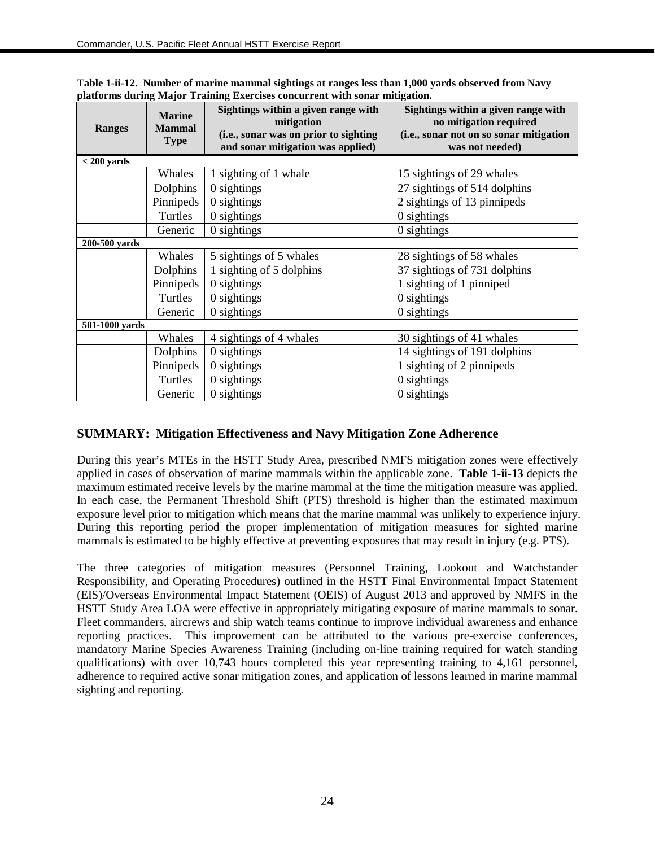| <b>Ranges</b>  | <b>Marine</b><br><b>Mammal</b><br><b>Type</b> | Sightings within a given range with<br>mitigation<br>(i.e., sonar was on prior to sighting<br>and sonar mitigation was applied) | Sightings within a given range with<br>no mitigation required<br>(i.e., sonar not on so sonar mitigation<br>was not needed) |
|----------------|-----------------------------------------------|---------------------------------------------------------------------------------------------------------------------------------|-----------------------------------------------------------------------------------------------------------------------------|
| $<$ 200 yards  |                                               |                                                                                                                                 |                                                                                                                             |
|                | Whales                                        | 1 sighting of 1 whale                                                                                                           | 15 sightings of 29 whales                                                                                                   |
|                | Dolphins                                      | 0 sightings                                                                                                                     | 27 sightings of 514 dolphins                                                                                                |
|                | Pinnipeds                                     | 0 sightings                                                                                                                     | 2 sightings of 13 pinnipeds                                                                                                 |
|                | Turtles                                       | 0 sightings                                                                                                                     | 0 sightings                                                                                                                 |
|                | Generic                                       | $0$ sightings                                                                                                                   | 0 sightings                                                                                                                 |
| 200-500 yards  |                                               |                                                                                                                                 |                                                                                                                             |
|                | Whales                                        | 5 sightings of 5 whales                                                                                                         | 28 sightings of 58 whales                                                                                                   |
|                | Dolphins                                      | 1 sighting of 5 dolphins                                                                                                        | 37 sightings of 731 dolphins                                                                                                |
|                | Pinnipeds                                     | 0 sightings                                                                                                                     | 1 sighting of 1 pinniped                                                                                                    |
|                | Turtles                                       | $0$ sightings                                                                                                                   | $0$ sightings                                                                                                               |
|                | Generic                                       | 0 sightings                                                                                                                     | 0 sightings                                                                                                                 |
| 501-1000 yards |                                               |                                                                                                                                 |                                                                                                                             |
|                | Whales                                        | 4 sightings of 4 whales                                                                                                         | 30 sightings of 41 whales                                                                                                   |
|                | Dolphins                                      | 0 sightings                                                                                                                     | 14 sightings of 191 dolphins                                                                                                |
|                | Pinnipeds                                     | 0 sightings                                                                                                                     | 1 sighting of 2 pinnipeds                                                                                                   |
|                | Turtles                                       | 0 sightings                                                                                                                     | 0 sightings                                                                                                                 |
|                | Generic                                       | 0 sightings                                                                                                                     | 0 sightings                                                                                                                 |

**Table 1-ii-12. Number of marine mammal sightings at ranges less than 1,000 yards observed from Navy platforms during Major Training Exercises concurrent with sonar mitigation.**

## **SUMMARY: Mitigation Effectiveness and Navy Mitigation Zone Adherence**

During this year's MTEs in the HSTT Study Area, prescribed NMFS mitigation zones were effectively applied in cases of observation of marine mammals within the applicable zone. **Table 1-ii-13** depicts the maximum estimated receive levels by the marine mammal at the time the mitigation measure was applied. In each case, the Permanent Threshold Shift (PTS) threshold is higher than the estimated maximum exposure level prior to mitigation which means that the marine mammal was unlikely to experience injury. During this reporting period the proper implementation of mitigation measures for sighted marine mammals is estimated to be highly effective at preventing exposures that may result in injury (e.g. PTS).

The three categories of mitigation measures (Personnel Training, Lookout and Watchstander Responsibility, and Operating Procedures) outlined in the HSTT Final Environmental Impact Statement (EIS)/Overseas Environmental Impact Statement (OEIS) of August 2013 and approved by NMFS in the HSTT Study Area LOA were effective in appropriately mitigating exposure of marine mammals to sonar. Fleet commanders, aircrews and ship watch teams continue to improve individual awareness and enhance reporting practices. This improvement can be attributed to the various pre-exercise conferences, mandatory Marine Species Awareness Training (including on-line training required for watch standing qualifications) with over 10,743 hours completed this year representing training to 4,161 personnel, adherence to required active sonar mitigation zones, and application of lessons learned in marine mammal sighting and reporting.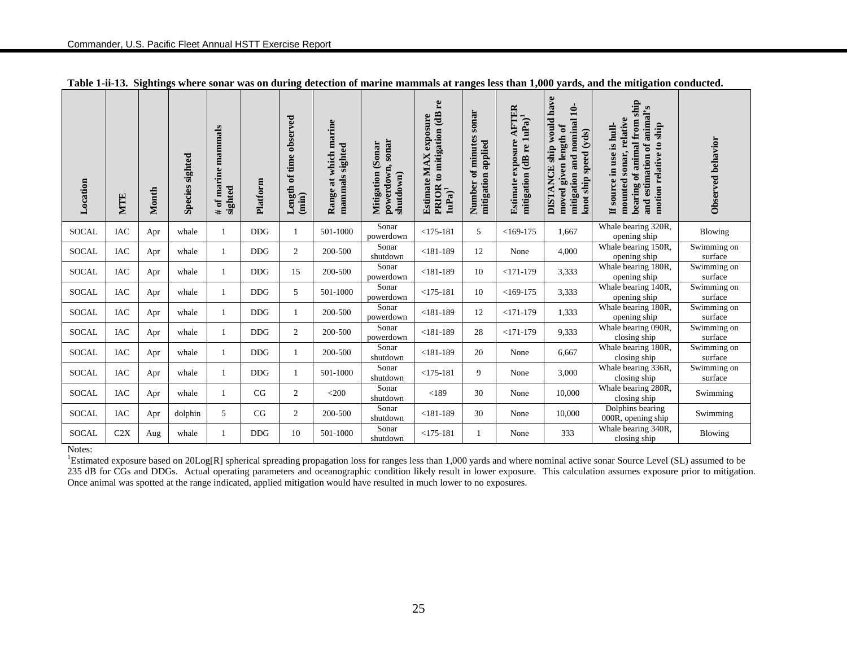| Location     | MTE        | Month | Species sighted | mammals<br>marine<br>sighted<br>ð<br># | Platform   | observed<br>time<br>ಕ<br>Length<br>$(\min)$ | marine<br>sighted<br>which<br>mammals<br>at<br>Range: | powerdown, sonar<br>Mitigation (Sonar<br>shutdown) | re<br>PRIOR to mitigation (dB<br>Estimate MAX exposure<br>$1uPa)^1$ | sonar<br>Number of minutes<br>applied<br>mitigation | AFTER<br>mitigation (dB re 1uPa) <sup>1</sup><br>exposure<br>Estimate | have<br>$\mathbf{10}$<br>ship would<br>mitigation and nominal<br>given length of<br>speed (yds)<br><b>DISTANCE</b><br>ship<br>moved<br>knot : | ship<br>estimation of animal's<br>sonar, relative<br>bearing of animal from<br>motion relative to ship<br>If source in use is hull-<br>mounted<br>and | Observed behavior      |
|--------------|------------|-------|-----------------|----------------------------------------|------------|---------------------------------------------|-------------------------------------------------------|----------------------------------------------------|---------------------------------------------------------------------|-----------------------------------------------------|-----------------------------------------------------------------------|-----------------------------------------------------------------------------------------------------------------------------------------------|-------------------------------------------------------------------------------------------------------------------------------------------------------|------------------------|
| <b>SOCAL</b> | IAC        | Apr   | whale           |                                        | <b>DDG</b> | 1                                           | 501-1000                                              | Sonar<br>powerdown                                 | $<$ 175-181                                                         | 5                                                   | $<169-175$                                                            | 1,667                                                                                                                                         | Whale bearing 320R,<br>opening ship                                                                                                                   | Blowing                |
| <b>SOCAL</b> | <b>IAC</b> | Apr   | whale           |                                        | <b>DDG</b> | $\overline{c}$                              | 200-500                                               | Sonar<br>shutdown                                  | $< 181 - 189$                                                       | 12                                                  | None                                                                  | 4,000                                                                                                                                         | Whale bearing 150R,<br>opening ship                                                                                                                   | Swimming on<br>surface |
| <b>SOCAL</b> | <b>IAC</b> | Apr   | whale           | 1                                      | <b>DDG</b> | 15                                          | 200-500                                               | Sonar<br>powerdown                                 | $< 181 - 189$                                                       | 10                                                  | $<171-179$                                                            | 3,333                                                                                                                                         | Whale bearing 180R,<br>opening ship                                                                                                                   | Swimming on<br>surface |
| SOCAL        | <b>IAC</b> | Apr   | whale           |                                        | <b>DDG</b> | 5                                           | 501-1000                                              | Sonar<br>powerdown                                 | $<$ 175-181                                                         | 10                                                  | $<169-175$                                                            | 3,333                                                                                                                                         | Whale bearing 140R,<br>opening ship                                                                                                                   | Swimming on<br>surface |
| <b>SOCAL</b> | <b>IAC</b> | Apr   | whale           |                                        | <b>DDG</b> |                                             | 200-500                                               | Sonar<br>powerdown                                 | $< 181 - 189$                                                       | 12                                                  | $<171-179$                                                            | 1,333                                                                                                                                         | Whale bearing 180R,<br>opening ship                                                                                                                   | Swimming on<br>surface |
| <b>SOCAL</b> | <b>IAC</b> | Apr   | whale           | 1                                      | <b>DDG</b> | $\overline{c}$                              | 200-500                                               | Sonar<br>powerdown                                 | $< 181 - 189$                                                       | 28                                                  | $<171-179$                                                            | 9,333                                                                                                                                         | Whale bearing 090R,<br>closing ship                                                                                                                   | Swimming on<br>surface |
| SOCAL        | <b>IAC</b> | Apr   | whale           |                                        | <b>DDG</b> |                                             | 200-500                                               | Sonar<br>shutdown                                  | $< 181 - 189$                                                       | 20                                                  | None                                                                  | 6,667                                                                                                                                         | Whale bearing 180R,<br>closing ship                                                                                                                   | Swimming on<br>surface |
| <b>SOCAL</b> | IAC        | Apr   | whale           |                                        | <b>DDG</b> | 1                                           | 501-1000                                              | Sonar<br>shutdown                                  | $<$ 175-181                                                         | 9                                                   | None                                                                  | 3,000                                                                                                                                         | Whale bearing 336R,<br>closing ship                                                                                                                   | Swimming on<br>surface |
| <b>SOCAL</b> | IAC        | Apr   | whale           | 1                                      | CG         | $\overline{c}$                              | $<$ 200                                               | Sonar<br>shutdown                                  | < 189                                                               | 30                                                  | None                                                                  | 10,000                                                                                                                                        | Whale bearing 280R,<br>closing ship                                                                                                                   | Swimming               |
| <b>SOCAL</b> | <b>IAC</b> | Apr   | dolphin         | 5                                      | CG         | $\mathfrak{2}$                              | 200-500                                               | Sonar<br>shutdown                                  | $< 181 - 189$                                                       | 30                                                  | None                                                                  | 10,000                                                                                                                                        | Dolphins bearing<br>000R, opening ship                                                                                                                | Swimming               |
| <b>SOCAL</b> | C2X        | Aug   | whale           |                                        | <b>DDG</b> | 10                                          | 501-1000                                              | Sonar<br>shutdown                                  | $<$ 175-181                                                         |                                                     | None                                                                  | 333                                                                                                                                           | Whale bearing 340R,<br>closing ship                                                                                                                   | <b>Blowing</b>         |

| Table 1-ii-13. Sightings where sonar was on during detection of marine mammals at ranges less than 1,000 yards, and the mitigation conducted. |  |  |  |  |  |  |  |  |  |  |  |  |
|-----------------------------------------------------------------------------------------------------------------------------------------------|--|--|--|--|--|--|--|--|--|--|--|--|
|-----------------------------------------------------------------------------------------------------------------------------------------------|--|--|--|--|--|--|--|--|--|--|--|--|

п

Notes:

<sup>1</sup>Estimated exposure based on 20Log[R] spherical spreading propagation loss for ranges less than 1,000 yards and where nominal active sonar Source Level (SL) assumed to be 235 dB for CGs and DDGs. Actual operating parameters and oceanographic condition likely result in lower exposure. This calculation assumes exposure prior to mitigation. Once animal was spotted at the range indicated, applied mitigation would have resulted in much lower to no exposures.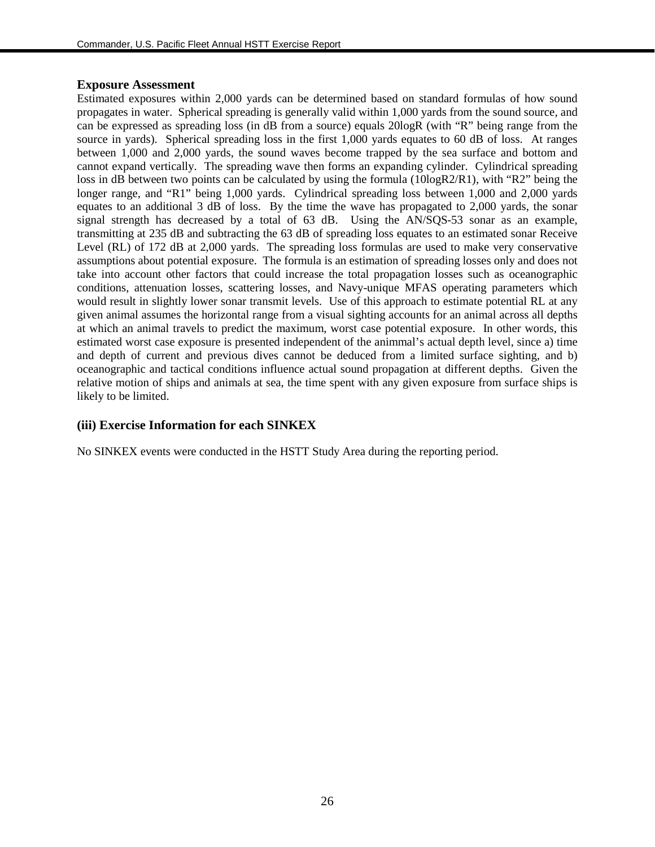#### **Exposure Assessment**

Estimated exposures within 2,000 yards can be determined based on standard formulas of how sound propagates in water. Spherical spreading is generally valid within 1,000 yards from the sound source, and can be expressed as spreading loss (in dB from a source) equals 20logR (with "R" being range from the source in yards). Spherical spreading loss in the first 1,000 yards equates to 60 dB of loss. At ranges between 1,000 and 2,000 yards, the sound waves become trapped by the sea surface and bottom and cannot expand vertically. The spreading wave then forms an expanding cylinder. Cylindrical spreading loss in dB between two points can be calculated by using the formula (10logR2/R1), with "R2" being the longer range, and "R1" being 1,000 yards. Cylindrical spreading loss between 1,000 and 2,000 yards equates to an additional 3 dB of loss. By the time the wave has propagated to 2,000 yards, the sonar signal strength has decreased by a total of 63 dB. Using the AN/SQS-53 sonar as an example, transmitting at 235 dB and subtracting the 63 dB of spreading loss equates to an estimated sonar Receive Level (RL) of 172 dB at 2,000 yards. The spreading loss formulas are used to make very conservative assumptions about potential exposure. The formula is an estimation of spreading losses only and does not take into account other factors that could increase the total propagation losses such as oceanographic conditions, attenuation losses, scattering losses, and Navy-unique MFAS operating parameters which would result in slightly lower sonar transmit levels. Use of this approach to estimate potential RL at any given animal assumes the horizontal range from a visual sighting accounts for an animal across all depths at which an animal travels to predict the maximum, worst case potential exposure. In other words, this estimated worst case exposure is presented independent of the animmal's actual depth level, since a) time and depth of current and previous dives cannot be deduced from a limited surface sighting, and b) oceanographic and tactical conditions influence actual sound propagation at different depths. Given the relative motion of ships and animals at sea, the time spent with any given exposure from surface ships is likely to be limited.

#### **(iii) Exercise Information for each SINKEX**

No SINKEX events were conducted in the HSTT Study Area during the reporting period.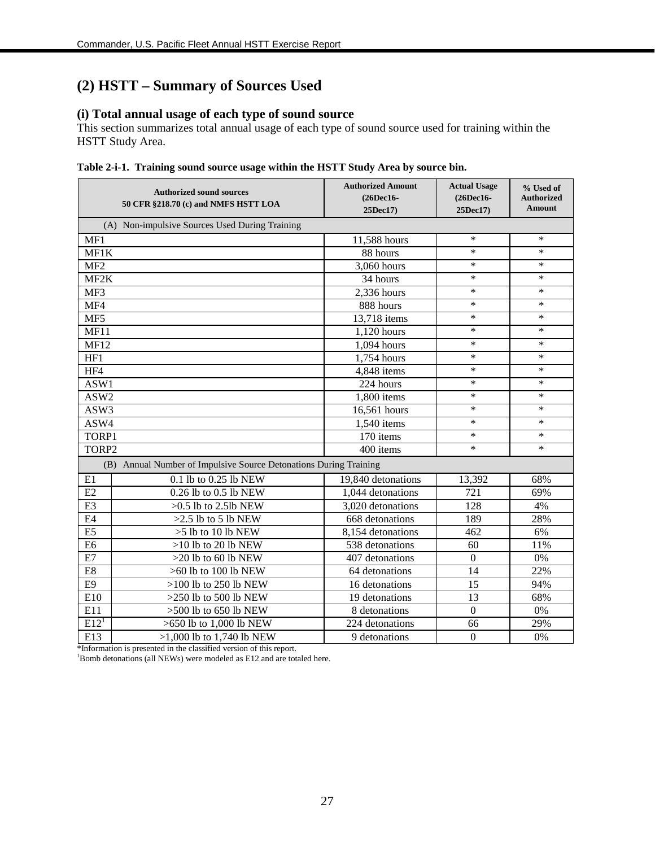# **(2) HSTT – Summary of Sources Used**

## **(i) Total annual usage of each type of sound source**

This section summarizes total annual usage of each type of sound source used for training within the HSTT Study Area.

|                   | <b>Authorized sound sources</b><br>50 CFR §218.70 (c) and NMFS HSTT LOA | <b>Authorized Amount</b><br>(26Dec16-<br>25Dec17) | <b>Actual Usage</b><br>$(26$ Dec $16$ -<br>25Dec17) | % Used of<br><b>Authorized</b><br>Amount |
|-------------------|-------------------------------------------------------------------------|---------------------------------------------------|-----------------------------------------------------|------------------------------------------|
|                   | (A) Non-impulsive Sources Used During Training                          |                                                   |                                                     |                                          |
| MF1               |                                                                         | 11,588 hours                                      | $\ast$                                              | $\ast$                                   |
| MF1K              |                                                                         | 88 hours                                          | $\ast$                                              | $\ast$                                   |
| MF <sub>2</sub>   |                                                                         | 3,060 hours                                       | $\ast$                                              | $\ast$                                   |
| MF <sub>2</sub> K |                                                                         | 34 hours                                          | $\ast$                                              | ∗                                        |
| MF3               |                                                                         | 2,336 hours                                       | $\ast$                                              | $\ast$                                   |
| MF4               |                                                                         | 888 hours                                         | $\ast$                                              | $\ast$                                   |
| MF5               |                                                                         | 13,718 items                                      | $\ast$                                              | $\ast$                                   |
| MF11              |                                                                         | 1,120 hours                                       | $\ast$                                              | $\ast$                                   |
| <b>MF12</b>       |                                                                         | 1,094 hours                                       | *                                                   | $\ast$                                   |
| HF1               |                                                                         | 1,754 hours                                       | *                                                   | $\ast$                                   |
| HF4               |                                                                         | 4,848 items                                       | $\ast$                                              | $\ast$                                   |
| ASW1              |                                                                         | 224 hours                                         | *                                                   | $\ast$                                   |
| ASW2              |                                                                         | 1,800 items                                       | $\ast$                                              | $\ast$                                   |
| ASW3              |                                                                         | 16,561 hours                                      | $\ast$                                              | $\ast$                                   |
| ASW4              |                                                                         | 1,540 items                                       | $\ast$                                              | $\ast$                                   |
| TORP1             |                                                                         | 170 items                                         | $\ast$                                              | $\ast$                                   |
| TORP2             |                                                                         | 400 items                                         | $\ast$                                              | $\ast$                                   |
| (B)               | Annual Number of Impulsive Source Detonations During Training           |                                                   |                                                     |                                          |
| E1                | 0.1 lb to 0.25 lb NEW                                                   | 19,840 detonations                                | 13,392                                              | 68%                                      |
| E2                | 0.26 lb to 0.5 lb NEW                                                   | 1,044 detonations                                 | 721                                                 | 69%                                      |
| E <sub>3</sub>    | $>0.5$ lb to 2.5lb NEW                                                  | 3,020 detonations                                 | 128                                                 | 4%                                       |
| E4                | $>2.5$ lb to 5 lb NEW                                                   | 668 detonations                                   | 189                                                 | 28%                                      |
| E5                | $>5$ lb to 10 lb NEW                                                    | 8,154 detonations                                 | 462                                                 | 6%                                       |
| E <sub>6</sub>    | $>10$ lb to 20 lb NEW                                                   | 538 detonations                                   | 60                                                  | 11%                                      |
| E7                | $>20$ lb to 60 lb NEW                                                   | 407 detonations                                   | $\boldsymbol{0}$                                    | 0%                                       |
| E8                | >60 lb to 100 lb NEW                                                    | 64 detonations                                    | 14                                                  | 22%                                      |
| E <sub>9</sub>    | $>100$ lb to 250 lb NEW                                                 | 16 detonations                                    | 15                                                  | 94%                                      |
| E10               | $>250$ lb to 500 lb NEW                                                 | 19 detonations                                    | 13                                                  | 68%                                      |
| E11               | $>500$ lb to 650 lb NEW                                                 | 8 detonations                                     | $\mathbf{0}$                                        | 0%                                       |
| E12 <sup>1</sup>  | >650 lb to 1,000 lb NEW                                                 | 224 detonations                                   | 66                                                  | 29%                                      |
| E13               | $>1,000$ lb to 1,740 lb NEW                                             | 9 detonations                                     | $\mathbf{0}$                                        | 0%                                       |

|  |  | Table 2-i-1. Training sound source usage within the HSTT Study Area by source bin. |  |  |  |  |
|--|--|------------------------------------------------------------------------------------|--|--|--|--|
|--|--|------------------------------------------------------------------------------------|--|--|--|--|

\*Information is presented in the classified version of this report. <sup>1</sup> Bomb detonations (all NEWs) were modeled as E12 and are totaled here.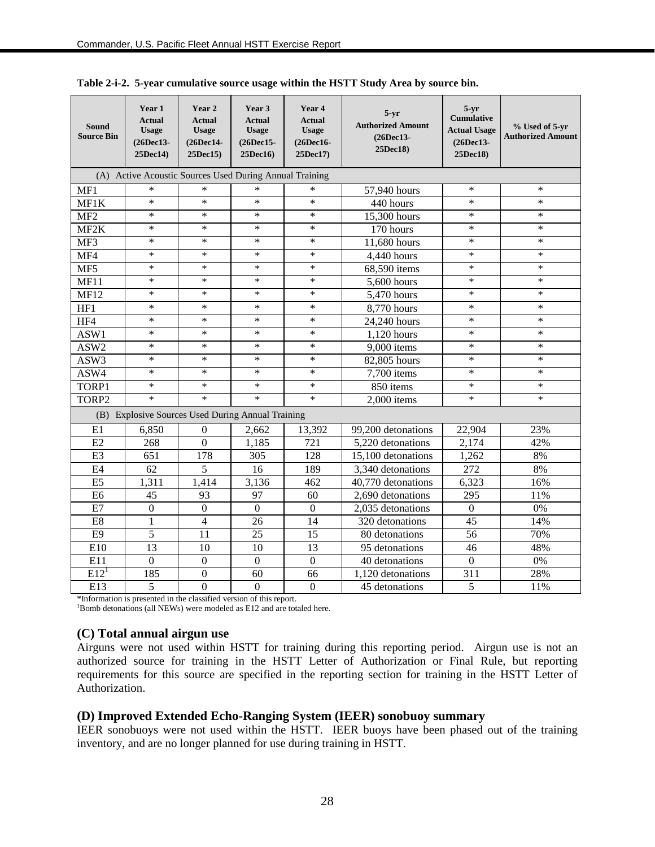| Sound<br><b>Source Bin</b> | Year 1<br><b>Actual</b><br><b>Usage</b><br>(26Dec13-<br>25Dec14) | Year 2<br><b>Actual</b><br><b>Usage</b><br>(26Dec14-<br>25Dec15) | Year 3<br><b>Actual</b><br><b>Usage</b><br>(26Dec15-<br>25Dec16) | Year 4<br><b>Actual</b><br><b>Usage</b><br>(26Dec16-<br>$25$ Dec $17$ ) | $5-yr$<br><b>Authorized Amount</b><br>(26Dec13-<br>25Dec18) | $5 - vr$<br><b>Cumulative</b><br><b>Actual Usage</b><br>(26Dec13-<br>25Dec18) | % Used of 5-yr<br><b>Authorized Amount</b> |
|----------------------------|------------------------------------------------------------------|------------------------------------------------------------------|------------------------------------------------------------------|-------------------------------------------------------------------------|-------------------------------------------------------------|-------------------------------------------------------------------------------|--------------------------------------------|
|                            |                                                                  | (A) Active Acoustic Sources Used During Annual Training          |                                                                  |                                                                         |                                                             |                                                                               |                                            |
| MF1                        | $\ast$                                                           | $\ast$                                                           | $\ast$                                                           | $\ast$                                                                  | 57,940 hours                                                | $\ast$                                                                        | $\ast$                                     |
| MF1K                       | $\ast$                                                           | $\ast$                                                           | $\ast$                                                           | $\ast$                                                                  | 440 hours                                                   | $\ast$                                                                        | $\ast$                                     |
| MF <sub>2</sub>            | $\ast$                                                           | $\ast$                                                           | $\ast$                                                           | $\ast$                                                                  | 15,300 hours                                                | $\ast$                                                                        | $\ast$                                     |
| MF <sub>2</sub> K          | *                                                                | $\ast$                                                           | $\ast$                                                           | $\ast$                                                                  | 170 hours                                                   | $\ast$                                                                        | *                                          |
| MF3                        | ∗                                                                | $\ast$                                                           | $\ast$                                                           | $\ast$                                                                  | 11,680 hours                                                | $\ast$                                                                        | $\ast$                                     |
| MF4                        | $\ast$                                                           | $\ast$                                                           | $\ast$                                                           | $\ast$                                                                  | 4,440 hours                                                 | $\ast$                                                                        | $\ast$                                     |
| MF5                        | $\ast$                                                           | $\ast$                                                           | $\ast$                                                           | $\ast$                                                                  | 68,590 items                                                | $\ast$                                                                        | $\ast$                                     |
| MF11                       | $\ast$                                                           | $\ast$                                                           | $\ast$                                                           | $\ast$                                                                  | 5,600 hours                                                 | $\ast$                                                                        | $\ast$                                     |
| <b>MF12</b>                | $\ast$                                                           | $\ast$                                                           | $\ast$                                                           | $\ast$                                                                  | 5,470 hours                                                 | $\ast$                                                                        | $\ast$                                     |
| HF1                        | $\ast$                                                           | $\ast$                                                           | $\ast$                                                           | $\ast$                                                                  | 8,770 hours                                                 | $\ast$                                                                        | $\ast$                                     |
| HF4                        | $\ast$                                                           | $\ast$                                                           | $\ast$                                                           | $\ast$                                                                  | 24,240 hours                                                | $\ast$                                                                        | $\ast$                                     |
| ASW1                       | $\ast$                                                           | $\ast$                                                           | $\ast$                                                           | $\ast$                                                                  | 1,120 hours                                                 | $\ast$                                                                        | $\ast$                                     |
| ASW2                       | $\ast$                                                           | $\ast$                                                           | $\ast$                                                           | $\ast$                                                                  | $9,000$ items                                               | $\ast$                                                                        | *                                          |
| ASW3                       | *                                                                | ∗                                                                | ∗                                                                | $\ast$                                                                  | 82,805 hours                                                | ∗                                                                             | *                                          |
| ASW4                       | *                                                                | $\ast$                                                           | ∗                                                                | $\ast$                                                                  | 7,700 items                                                 | $\ast$                                                                        | *                                          |
| TORP1                      | $\ast$                                                           | $\ast$                                                           | $\ast$                                                           | $\ast$                                                                  | 850 items                                                   | $\ast$                                                                        | $\ast$                                     |
| TORP2                      | $\ast$                                                           | $\ast$                                                           | $\ast$                                                           | $\ast$                                                                  | $2,000$ items                                               | $\ast$                                                                        | $\ast$                                     |
|                            |                                                                  | (B) Explosive Sources Used During Annual Training                |                                                                  |                                                                         |                                                             |                                                                               |                                            |
| E1                         | 6,850                                                            | $\boldsymbol{0}$                                                 | 2,662                                                            | 13,392                                                                  | 99,200 detonations                                          | 22,904                                                                        | 23%                                        |
| E2                         | 268                                                              | $\theta$                                                         | 1,185                                                            | 721                                                                     | 5,220 detonations                                           | 2,174                                                                         | 42%                                        |
| E <sub>3</sub>             | 651                                                              | 178                                                              | 305                                                              | 128                                                                     | 15,100 detonations                                          | 1.262                                                                         | 8%                                         |
| E <sub>4</sub>             | 62                                                               | 5                                                                | 16                                                               | 189                                                                     | 3.340 detonations                                           | 272                                                                           | 8%                                         |
| E <sub>5</sub>             | 1,311                                                            | 1,414                                                            | 3,136                                                            | 462                                                                     | 40,770 detonations                                          | 6,323                                                                         | 16%                                        |
| E <sub>6</sub>             | 45                                                               | 93                                                               | 97                                                               | 60                                                                      | 2,690 detonations                                           | 295                                                                           | 11%                                        |
| E7                         | $\boldsymbol{0}$                                                 | $\mathbf{0}$                                                     | $\overline{0}$                                                   | $\mathbf{0}$                                                            | 2,035 detonations                                           | $\boldsymbol{0}$                                                              | 0%                                         |
| E8                         | $\mathbf{1}$                                                     | $\overline{4}$                                                   | 26                                                               | 14                                                                      | 320 detonations                                             | 45                                                                            | 14%                                        |
| E <sub>9</sub>             | 5                                                                | 11                                                               | 25                                                               | 15                                                                      | 80 detonations                                              | 56                                                                            | 70%                                        |
| E10                        | 13                                                               | 10                                                               | 10                                                               | 13                                                                      | 95 detonations                                              | 46                                                                            | 48%                                        |
| E11                        | $\overline{0}$                                                   | $\overline{0}$                                                   | $\overline{0}$                                                   | $\overline{0}$                                                          | 40 detonations                                              | $\overline{0}$                                                                | 0%                                         |
| E12 <sup>1</sup>           | 185                                                              | $\mathbf{0}$                                                     | 60                                                               | 66                                                                      | 1,120 detonations                                           | 311                                                                           | 28%                                        |
| E13                        | 5                                                                | $\overline{0}$                                                   | $\overline{0}$                                                   | $\overline{0}$                                                          | 45 detonations                                              | 5                                                                             | 11%                                        |

|  |  |  |  | Table 2-i-2. 5-year cumulative source usage within the HSTT Study Area by source bin. |
|--|--|--|--|---------------------------------------------------------------------------------------|
|--|--|--|--|---------------------------------------------------------------------------------------|

\*Information is presented in the classified version of this report.

<sup>1</sup>Bomb detonations (all NEWs) were modeled as E12 and are totaled here.

#### **(C) Total annual airgun use**

Airguns were not used within HSTT for training during this reporting period. Airgun use is not an authorized source for training in the HSTT Letter of Authorization or Final Rule, but reporting requirements for this source are specified in the reporting section for training in the HSTT Letter of Authorization.

#### **(D) Improved Extended Echo-Ranging System (IEER) sonobuoy summary**

IEER sonobuoys were not used within the HSTT. IEER buoys have been phased out of the training inventory, and are no longer planned for use during training in HSTT.